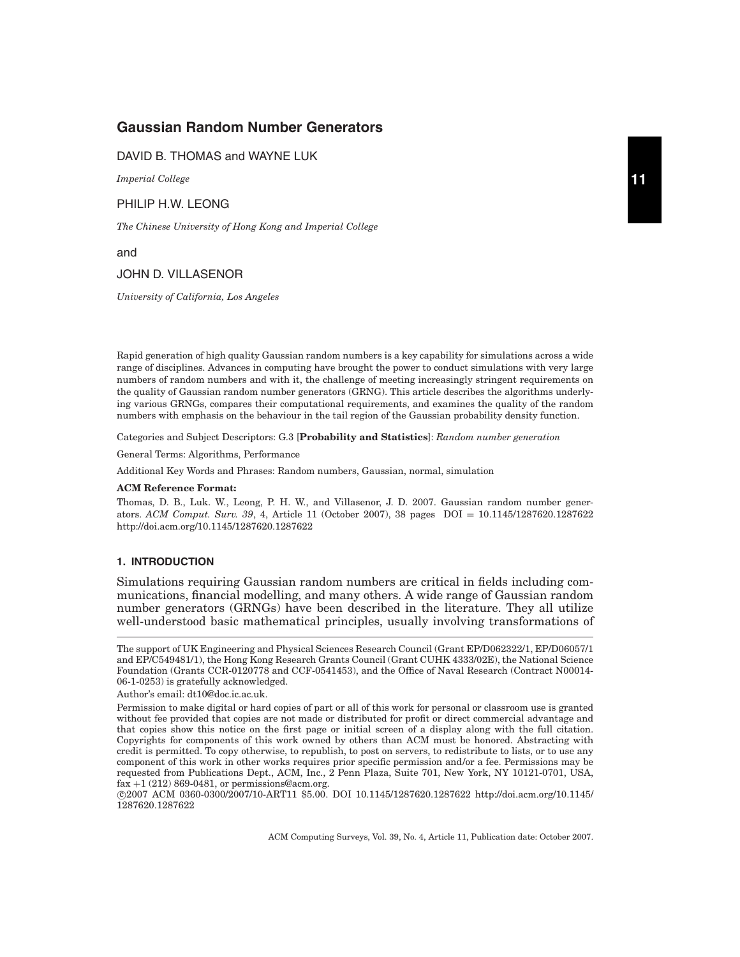# **Gaussian Random Number Generators**

### DAVID B. THOMAS and WAYNE LUK

*Imperial College*

#### PHILIP H.W. LEONG

*The Chinese University of Hong Kong and Imperial College*

and

#### JOHN D. VILLASENOR

*University of California, Los Angeles*

Rapid generation of high quality Gaussian random numbers is a key capability for simulations across a wide range of disciplines. Advances in computing have brought the power to conduct simulations with very large numbers of random numbers and with it, the challenge of meeting increasingly stringent requirements on the quality of Gaussian random number generators (GRNG). This article describes the algorithms underlying various GRNGs, compares their computational requirements, and examines the quality of the random numbers with emphasis on the behaviour in the tail region of the Gaussian probability density function.

Categories and Subject Descriptors: G.3 [**Probability and Statistics**]: *Random number generation*

General Terms: Algorithms, Performance

Additional Key Words and Phrases: Random numbers, Gaussian, normal, simulation

#### **ACM Reference Format:**

Thomas, D. B., Luk. W., Leong, P. H. W., and Villasenor, J. D. 2007. Gaussian random number generators. *ACM Comput. Surv. 39*, 4, Article 11 (October 2007), 38 pages DOI = 10.1145/1287620.1287622 http://doi.acm.org/10.1145/1287620.1287622

### **1. INTRODUCTION**

Simulations requiring Gaussian random numbers are critical in fields including communications, financial modelling, and many others. A wide range of Gaussian random number generators (GRNGs) have been described in the literature. They all utilize well-understood basic mathematical principles, usually involving transformations of

#### Author's email: dt10@doc.ic.ac.uk.

-c 2007 ACM 0360-0300/2007/10-ART11 \$5.00. DOI 10.1145/1287620.1287622 http://doi.acm.org/10.1145/ 1287620.1287622

The support of UK Engineering and Physical Sciences Research Council (Grant EP/D062322/1, EP/D06057/1 and EP/C549481/1), the Hong Kong Research Grants Council (Grant CUHK 4333/02E), the National Science Foundation (Grants CCR-0120778 and CCF-0541453), and the Office of Naval Research (Contract N00014- 06-1-0253) is gratefully acknowledged.

Permission to make digital or hard copies of part or all of this work for personal or classroom use is granted without fee provided that copies are not made or distributed for profit or direct commercial advantage and that copies show this notice on the first page or initial screen of a display along with the full citation. Copyrights for components of this work owned by others than ACM must be honored. Abstracting with credit is permitted. To copy otherwise, to republish, to post on servers, to redistribute to lists, or to use any component of this work in other works requires prior specific permission and/or a fee. Permissions may be requested from Publications Dept., ACM, Inc., 2 Penn Plaza, Suite 701, New York, NY 10121-0701, USA,  $\frac{\text{fax} + 1(212) 869 - 0481}{\text{, or permissions@acm.org}}$ .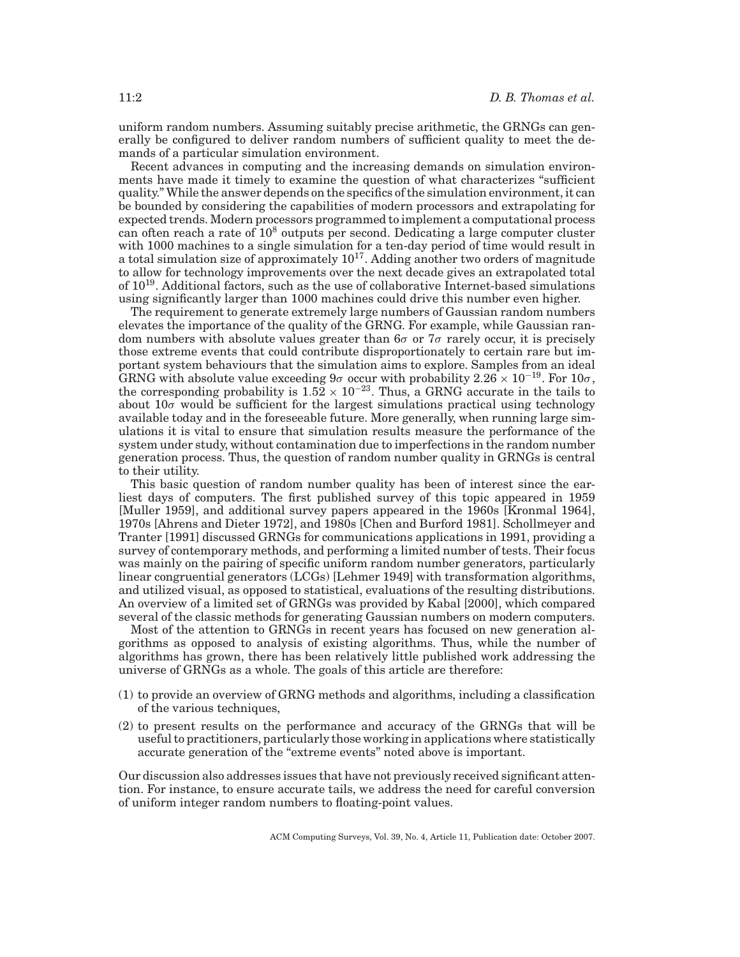uniform random numbers. Assuming suitably precise arithmetic, the GRNGs can generally be configured to deliver random numbers of sufficient quality to meet the demands of a particular simulation environment.

Recent advances in computing and the increasing demands on simulation environments have made it timely to examine the question of what characterizes "sufficient quality." While the answer depends on the specifics of the simulation environment, it can be bounded by considering the capabilities of modern processors and extrapolating for expected trends. Modern processors programmed to implement a computational process can often reach a rate of  $10^8$  outputs per second. Dedicating a large computer cluster with 1000 machines to a single simulation for a ten-day period of time would result in a total simulation size of approximately  $10^{17}$ . Adding another two orders of magnitude to allow for technology improvements over the next decade gives an extrapolated total of 1019. Additional factors, such as the use of collaborative Internet-based simulations using significantly larger than 1000 machines could drive this number even higher.

The requirement to generate extremely large numbers of Gaussian random numbers elevates the importance of the quality of the GRNG. For example, while Gaussian random numbers with absolute values greater than  $6\sigma$  or  $7\sigma$  rarely occur, it is precisely those extreme events that could contribute disproportionately to certain rare but important system behaviours that the simulation aims to explore. Samples from an ideal GRNG with absolute value exceeding  $9\sigma$  occur with probability  $2.26 \times 10^{-19}$ . For  $10\sigma$ , the corresponding probability is  $1.52 \times 10^{-23}$ . Thus, a GRNG accurate in the tails to about  $10\sigma$  would be sufficient for the largest simulations practical using technology available today and in the foreseeable future. More generally, when running large simulations it is vital to ensure that simulation results measure the performance of the system under study, without contamination due to imperfections in the random number generation process. Thus, the question of random number quality in GRNGs is central to their utility.

This basic question of random number quality has been of interest since the earliest days of computers. The first published survey of this topic appeared in 1959 [Muller 1959], and additional survey papers appeared in the 1960s [Kronmal 1964], 1970s [Ahrens and Dieter 1972], and 1980s [Chen and Burford 1981]. Schollmeyer and Tranter [1991] discussed GRNGs for communications applications in 1991, providing a survey of contemporary methods, and performing a limited number of tests. Their focus was mainly on the pairing of specific uniform random number generators, particularly linear congruential generators (LCGs) [Lehmer 1949] with transformation algorithms, and utilized visual, as opposed to statistical, evaluations of the resulting distributions. An overview of a limited set of GRNGs was provided by Kabal [2000], which compared several of the classic methods for generating Gaussian numbers on modern computers.

Most of the attention to GRNGs in recent years has focused on new generation algorithms as opposed to analysis of existing algorithms. Thus, while the number of algorithms has grown, there has been relatively little published work addressing the universe of GRNGs as a whole. The goals of this article are therefore:

- (1) to provide an overview of GRNG methods and algorithms, including a classification of the various techniques,
- (2) to present results on the performance and accuracy of the GRNGs that will be useful to practitioners, particularly those working in applications where statistically accurate generation of the "extreme events" noted above is important.

Our discussion also addresses issues that have not previously received significant attention. For instance, to ensure accurate tails, we address the need for careful conversion of uniform integer random numbers to floating-point values.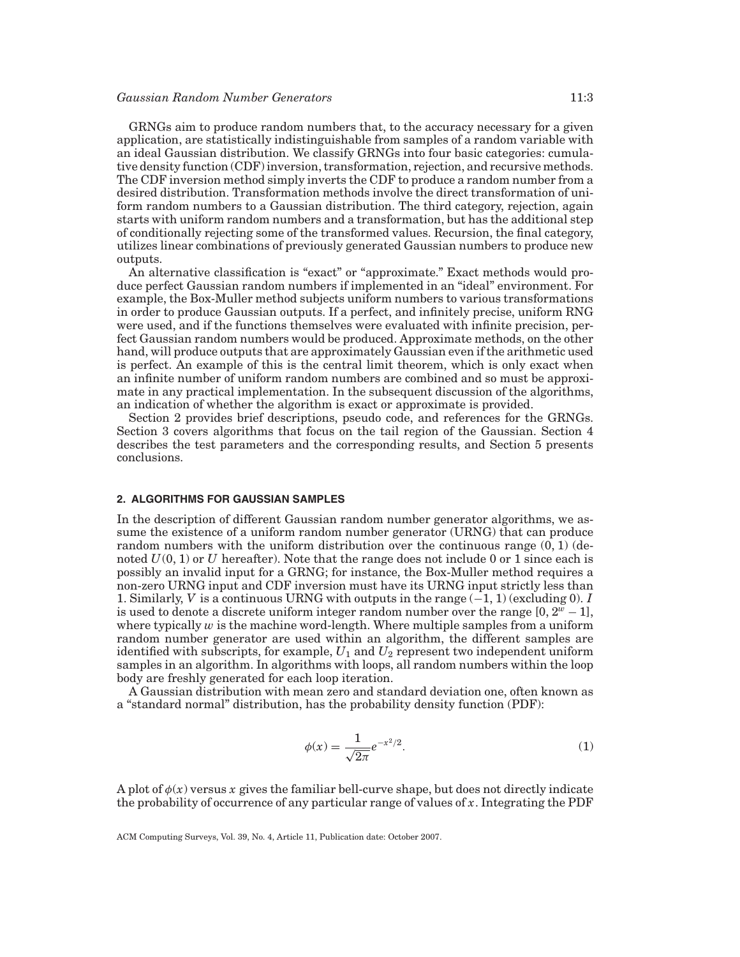#### *Gaussian Random Number Generators* 11:3

GRNGs aim to produce random numbers that, to the accuracy necessary for a given application, are statistically indistinguishable from samples of a random variable with an ideal Gaussian distribution. We classify GRNGs into four basic categories: cumulative density function (CDF) inversion, transformation, rejection, and recursive methods. The CDF inversion method simply inverts the CDF to produce a random number from a desired distribution. Transformation methods involve the direct transformation of uniform random numbers to a Gaussian distribution. The third category, rejection, again starts with uniform random numbers and a transformation, but has the additional step of conditionally rejecting some of the transformed values. Recursion, the final category, utilizes linear combinations of previously generated Gaussian numbers to produce new outputs.

An alternative classification is "exact" or "approximate." Exact methods would produce perfect Gaussian random numbers if implemented in an "ideal" environment. For example, the Box-Muller method subjects uniform numbers to various transformations in order to produce Gaussian outputs. If a perfect, and infinitely precise, uniform RNG were used, and if the functions themselves were evaluated with infinite precision, perfect Gaussian random numbers would be produced. Approximate methods, on the other hand, will produce outputs that are approximately Gaussian even if the arithmetic used is perfect. An example of this is the central limit theorem, which is only exact when an infinite number of uniform random numbers are combined and so must be approximate in any practical implementation. In the subsequent discussion of the algorithms, an indication of whether the algorithm is exact or approximate is provided.

Section 2 provides brief descriptions, pseudo code, and references for the GRNGs. Section 3 covers algorithms that focus on the tail region of the Gaussian. Section 4 describes the test parameters and the corresponding results, and Section 5 presents conclusions.

# **2. ALGORITHMS FOR GAUSSIAN SAMPLES**

In the description of different Gaussian random number generator algorithms, we assume the existence of a uniform random number generator (URNG) that can produce random numbers with the uniform distribution over the continuous range  $(0, 1)$  (denoted  $U(0, 1)$  or  $U$  hereafter). Note that the range does not include 0 or 1 since each is possibly an invalid input for a GRNG; for instance, the Box-Muller method requires a non-zero URNG input and CDF inversion must have its URNG input strictly less than 1. Similarly, *V* is a continuous URNG with outputs in the range (−1, 1) (excluding 0). *I* is used to denote a discrete uniform integer random number over the range  $[0, 2<sup>w</sup> - 1]$ , where typically  $w$  is the machine word-length. Where multiple samples from a uniform random number generator are used within an algorithm, the different samples are identified with subscripts, for example,  $U_1$  and  $U_2$  represent two independent uniform samples in an algorithm. In algorithms with loops, all random numbers within the loop body are freshly generated for each loop iteration.

A Gaussian distribution with mean zero and standard deviation one, often known as a "standard normal" distribution, has the probability density function (PDF):

$$
\phi(x) = \frac{1}{\sqrt{2\pi}} e^{-x^2/2}.
$$
\n(1)

A plot of  $\phi(x)$  versus x gives the familiar bell-curve shape, but does not directly indicate the probability of occurrence of any particular range of values of *x*. Integrating the PDF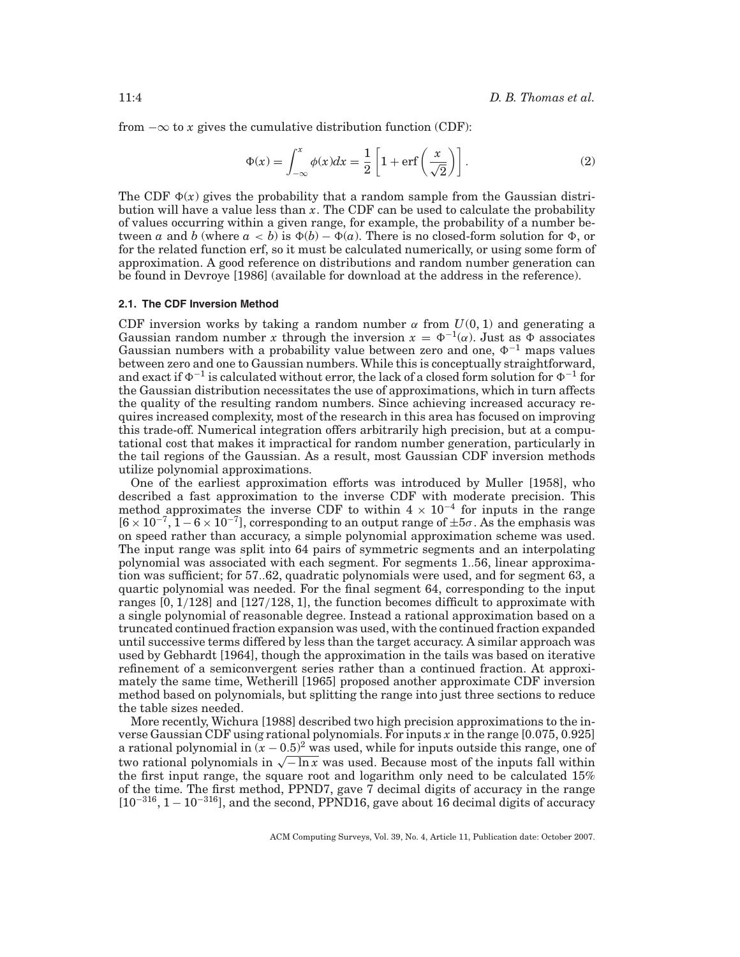from  $-\infty$  to *x* gives the cumulative distribution function (CDF):

$$
\Phi(x) = \int_{-\infty}^{x} \phi(x) dx = \frac{1}{2} \left[ 1 + \text{erf}\left(\frac{x}{\sqrt{2}}\right) \right].
$$
 (2)

The CDF  $\Phi(x)$  gives the probability that a random sample from the Gaussian distribution will have a value less than *x*. The CDF can be used to calculate the probability of values occurring within a given range, for example, the probability of a number between *a* and *b* (where  $a < b$ ) is  $\Phi(b) - \Phi(a)$ . There is no closed-form solution for  $\Phi$ , or for the related function erf, so it must be calculated numerically, or using some form of approximation. A good reference on distributions and random number generation can be found in Devroye [1986] (available for download at the address in the reference).

### **2.1. The CDF Inversion Method**

CDF inversion works by taking a random number  $\alpha$  from  $U(0, 1)$  and generating a Gaussian random number x through the inversion  $x = \Phi^{-1}(\alpha)$ . Just as  $\Phi$  associates Gaussian numbers with a probability value between zero and one,  $\Phi^{-1}$  maps values between zero and one to Gaussian numbers. While this is conceptually straightforward, and exact if  $\Phi^{-1}$  is calculated without error, the lack of a closed form solution for  $\Phi^{-1}$  for the Gaussian distribution necessitates the use of approximations, which in turn affects the quality of the resulting random numbers. Since achieving increased accuracy requires increased complexity, most of the research in this area has focused on improving this trade-off. Numerical integration offers arbitrarily high precision, but at a computational cost that makes it impractical for random number generation, particularly in the tail regions of the Gaussian. As a result, most Gaussian CDF inversion methods utilize polynomial approximations.

One of the earliest approximation efforts was introduced by Muller [1958], who described a fast approximation to the inverse CDF with moderate precision. This method approximates the inverse CDF to within  $4 \times 10^{-4}$  for inputs in the range  $[6 \times 10^{-7}, 1 - 6 \times 10^{-7}]$ , corresponding to an output range of  $\pm 5\sigma$ . As the emphasis was on speed rather than accuracy, a simple polynomial approximation scheme was used. The input range was split into 64 pairs of symmetric segments and an interpolating polynomial was associated with each segment. For segments 1..56, linear approximation was sufficient; for 57..62, quadratic polynomials were used, and for segment 63, a quartic polynomial was needed. For the final segment 64, corresponding to the input ranges [0, 1/128] and [127/128, 1], the function becomes difficult to approximate with a single polynomial of reasonable degree. Instead a rational approximation based on a truncated continued fraction expansion was used, with the continued fraction expanded until successive terms differed by less than the target accuracy. A similar approach was used by Gebhardt [1964], though the approximation in the tails was based on iterative refinement of a semiconvergent series rather than a continued fraction. At approximately the same time, Wetherill [1965] proposed another approximate CDF inversion method based on polynomials, but splitting the range into just three sections to reduce the table sizes needed.

More recently, Wichura [1988] described two high precision approximations to the inverse Gaussian CDF using rational polynomials. For inputs *x* in the range [0.075, 0.925] a rational polynomial in  $(x - 0.5)^2$  was used, while for inputs outside this range, one of two rational polynomials in √− ln *<sup>x</sup>* was used. Because most of the inputs fall within the first input range, the square root and logarithm only need to be calculated 15% of the time. The first method, PPND7, gave 7 decimal digits of accuracy in the range  $[10^{-316}, 1 - 10^{-316}]$ , and the second, PPND16, gave about 16 decimal digits of accuracy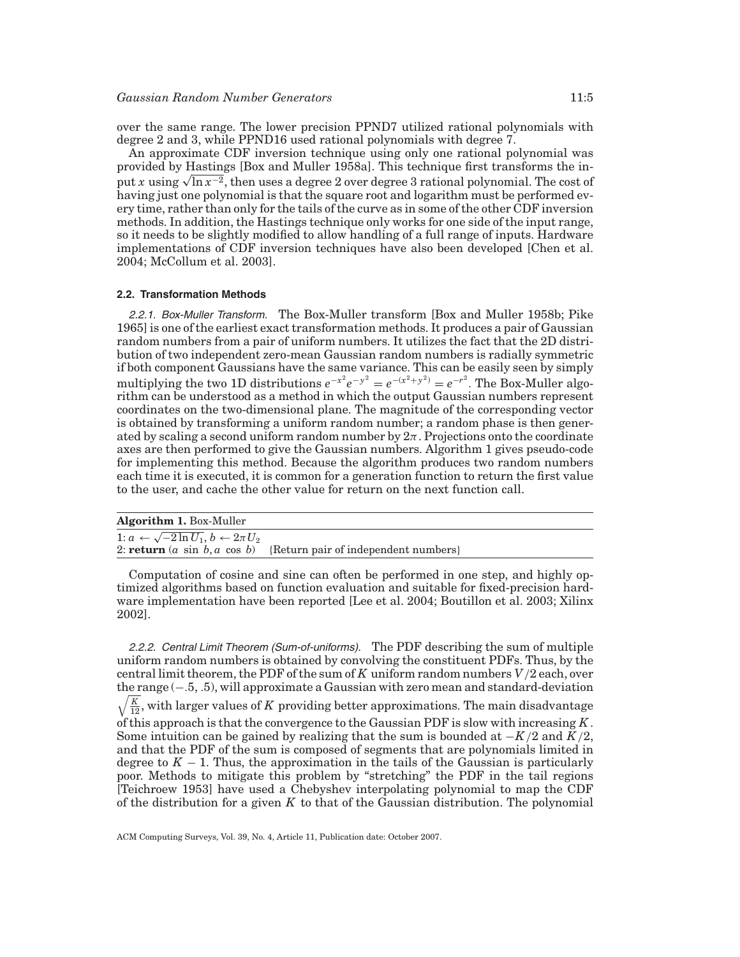over the same range. The lower precision PPND7 utilized rational polynomials with degree 2 and 3, while PPND16 used rational polynomials with degree 7.

An approximate CDF inversion technique using only one rational polynomial was provided by Hastings [Box and Muller 1958a]. This technique first transforms the inprovided by Hastings [Box and Muller 1958a]. This technique first transforms the in-<br>put *x* using √ln *x*<sup>−2</sup>, then uses a degree 2 over degree 3 rational polynomial. The cost of having just one polynomial is that the square root and logarithm must be performed every time, rather than only for the tails of the curve as in some of the other CDF inversion methods. In addition, the Hastings technique only works for one side of the input range, so it needs to be slightly modified to allow handling of a full range of inputs. Hardware implementations of CDF inversion techniques have also been developed [Chen et al. 2004; McCollum et al. 2003].

#### **2.2. Transformation Methods**

*2.2.1. Box-Muller Transform.* The Box-Muller transform [Box and Muller 1958b; Pike 1965] is one of the earliest exact transformation methods. It produces a pair of Gaussian random numbers from a pair of uniform numbers. It utilizes the fact that the 2D distribution of two independent zero-mean Gaussian random numbers is radially symmetric if both component Gaussians have the same variance. This can be easily seen by simply multiplying the two 1D distributions  $e^{-x^2}e^{-y^2} = e^{-(x^2+y^2)} = e^{-r^2}$ . The Box-Muller algorithm can be understood as a method in which the output Gaussian numbers represent coordinates on the two-dimensional plane. The magnitude of the corresponding vector is obtained by transforming a uniform random number; a random phase is then generated by scaling a second uniform random number by  $2\pi$ . Projections onto the coordinate axes are then performed to give the Gaussian numbers. Algorithm 1 gives pseudo-code for implementing this method. Because the algorithm produces two random numbers each time it is executed, it is common for a generation function to return the first value to the user, and cache the other value for return on the next function call.

**Algorithm 1.** Box-Muller

1:  $a \leftarrow \sqrt{-2 \ln U_1}, b \leftarrow 2\pi U_2$ <br>2: **return** (*a* sin *b*, *a* cos *b*)

{Return pair of independent numbers}

Computation of cosine and sine can often be performed in one step, and highly optimized algorithms based on function evaluation and suitable for fixed-precision hardware implementation have been reported [Lee et al. 2004; Boutillon et al. 2003; Xilinx 2002].

*2.2.2. Central Limit Theorem (Sum-of-uniforms).* The PDF describing the sum of multiple uniform random numbers is obtained by convolving the constituent PDFs. Thus, by the central limit theorem, the PDF of the sum of *K* uniform random numbers *V*/2 each, over  $\sqrt{\frac{K}{12}}$ , with larger values of *K* providing better approximations. The main disadvantage the range (−.5, .5), will approximate a Gaussian with zero mean and standard-deviation of this approach is that the convergence to the Gaussian PDF is slow with increasing *K* . Some intuition can be gained by realizing that the sum is bounded at  $-K/2$  and  $K/2$ , and that the PDF of the sum is composed of segments that are polynomials limited in degree to  $K - 1$ . Thus, the approximation in the tails of the Gaussian is particularly poor. Methods to mitigate this problem by "stretching" the PDF in the tail regions [Teichroew 1953] have used a Chebyshev interpolating polynomial to map the CDF of the distribution for a given *K* to that of the Gaussian distribution. The polynomial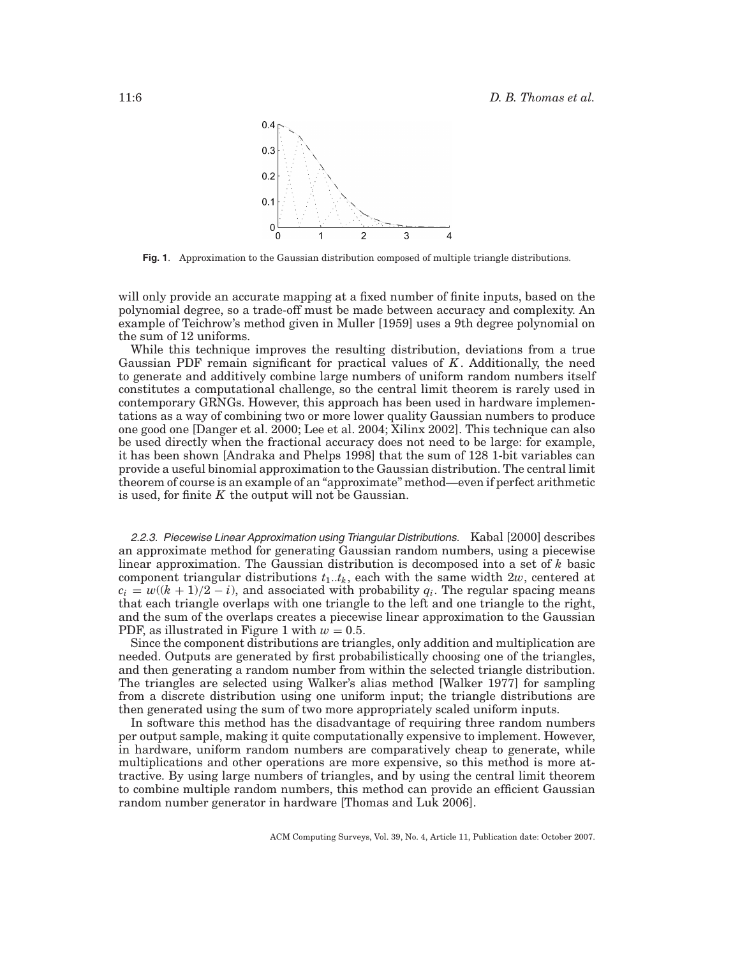

**Fig. 1**. Approximation to the Gaussian distribution composed of multiple triangle distributions.

will only provide an accurate mapping at a fixed number of finite inputs, based on the polynomial degree, so a trade-off must be made between accuracy and complexity. An example of Teichrow's method given in Muller [1959] uses a 9th degree polynomial on the sum of 12 uniforms.

While this technique improves the resulting distribution, deviations from a true Gaussian PDF remain significant for practical values of *K* . Additionally, the need to generate and additively combine large numbers of uniform random numbers itself constitutes a computational challenge, so the central limit theorem is rarely used in contemporary GRNGs. However, this approach has been used in hardware implementations as a way of combining two or more lower quality Gaussian numbers to produce one good one [Danger et al. 2000; Lee et al. 2004; Xilinx 2002]. This technique can also be used directly when the fractional accuracy does not need to be large: for example, it has been shown [Andraka and Phelps 1998] that the sum of 128 1-bit variables can provide a useful binomial approximation to the Gaussian distribution. The central limit theorem of course is an example of an "approximate" method—even if perfect arithmetic is used, for finite *K* the output will not be Gaussian.

*2.2.3. Piecewise Linear Approximation using Triangular Distributions.* Kabal [2000] describes an approximate method for generating Gaussian random numbers, using a piecewise linear approximation. The Gaussian distribution is decomposed into a set of *k* basic component triangular distributions  $t_1..t_k$ , each with the same width  $2w$ , centered at  $c_i = w((k + 1)/2 - i)$ , and associated with probability  $q_i$ . The regular spacing means that each triangle overlaps with one triangle to the left and one triangle to the right, and the sum of the overlaps creates a piecewise linear approximation to the Gaussian PDF, as illustrated in Figure 1 with  $w = 0.5$ .

Since the component distributions are triangles, only addition and multiplication are needed. Outputs are generated by first probabilistically choosing one of the triangles, and then generating a random number from within the selected triangle distribution. The triangles are selected using Walker's alias method [Walker 1977] for sampling from a discrete distribution using one uniform input; the triangle distributions are then generated using the sum of two more appropriately scaled uniform inputs.

In software this method has the disadvantage of requiring three random numbers per output sample, making it quite computationally expensive to implement. However, in hardware, uniform random numbers are comparatively cheap to generate, while multiplications and other operations are more expensive, so this method is more attractive. By using large numbers of triangles, and by using the central limit theorem to combine multiple random numbers, this method can provide an efficient Gaussian random number generator in hardware [Thomas and Luk 2006].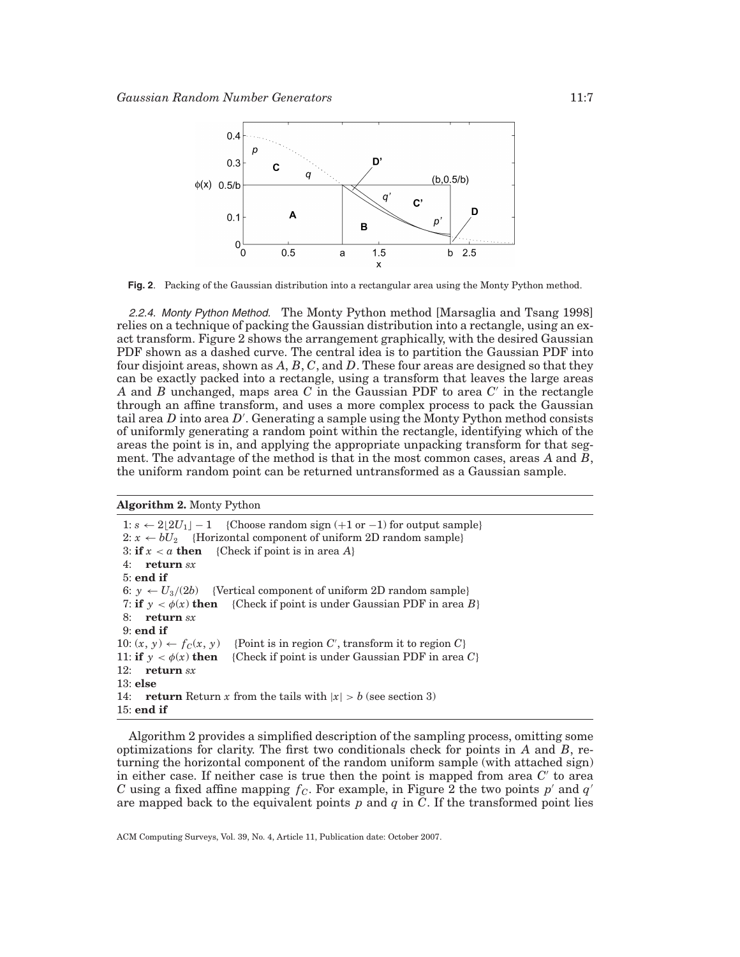

**Fig. 2**. Packing of the Gaussian distribution into a rectangular area using the Monty Python method.

*2.2.4. Monty Python Method.* The Monty Python method [Marsaglia and Tsang 1998] relies on a technique of packing the Gaussian distribution into a rectangle, using an exact transform. Figure 2 shows the arrangement graphically, with the desired Gaussian PDF shown as a dashed curve. The central idea is to partition the Gaussian PDF into four disjoint areas, shown as *A*, *B*, *C*, and *D*. These four areas are designed so that they can be exactly packed into a rectangle, using a transform that leaves the large areas *A* and *B* unchanged, maps area *C* in the Gaussian PDF to area *C* in the rectangle through an affine transform, and uses a more complex process to pack the Gaussian tail area *D* into area *D* . Generating a sample using the Monty Python method consists of uniformly generating a random point within the rectangle, identifying which of the areas the point is in, and applying the appropriate unpacking transform for that segment. The advantage of the method is that in the most common cases, areas *A* and *B*, the uniform random point can be returned untransformed as a Gaussian sample.

**Algorithm 2.** Monty Python

1:  $s \leftarrow 2[2U_1] - 1$  {Choose random sign (+1 or -1) for output sample} 2:  $x \leftarrow bU_2$  {Horizontal component of uniform 2D random sample}<br>3: **if**  $x < a$  **then** {Check if point is in area A}  ${C}$  *s*  ${C}$  *leck if point is in area A*} 4: **return** *sx* 5: **end if** 6:  $y \leftarrow U_3/(2b)$  {Vertical component of uniform 2D random sample} 7: **if**  $y < \phi(x)$  **then** {Check if point is under Gaussian PDF in area *B*} 8: **return** *sx* 9: **end if** 10:  $(x, y) \leftarrow f_C(x, y)$ <br>11: **if**  $y < \phi(x)$  **then** {Point is in region  $C'$ , transform it to region  $C$ }  ${C}$  *f*  ${C}$  *leck if point is under Gaussian PDF in area*  $C$ *}* 12: **return** *sx* 13: **else** 14: **return** Return *x* from the tails with  $|x| > b$  (see section 3) 15: **end if**

Algorithm 2 provides a simplified description of the sampling process, omitting some optimizations for clarity. The first two conditionals check for points in *A* and *B*, returning the horizontal component of the random uniform sample (with attached sign) in either case. If neither case is true then the point is mapped from area  $C'$  to area *C* using a fixed affine mapping  $f<sub>C</sub>$ . For example, in Figure 2 the two points  $p'$  and  $q'$ are mapped back to the equivalent points *p* and *q* in *C*. If the transformed point lies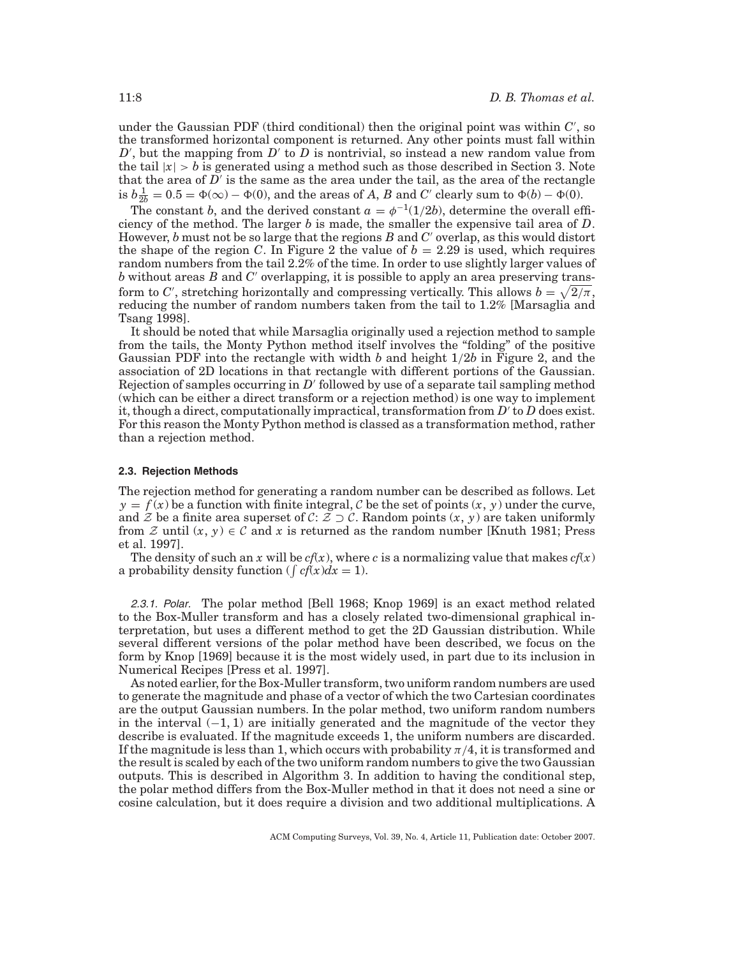under the Gaussian PDF (third conditional) then the original point was within *C* , so the transformed horizontal component is returned. Any other points must fall within  $D'$ , but the mapping from  $D'$  to  $D$  is nontrivial, so instead a new random value from the tail  $|x| > b$  is generated using a method such as those described in Section 3. Note that the area of  $D'$  is the same as the area under the tail, as the area of the rectangle is  $b\frac{1}{2b} = 0.5 = \Phi(\infty) - \Phi(0)$ , and the areas of *A*, *B* and *C'* clearly sum to  $\Phi(b) - \Phi(0)$ .

The constant *b*, and the derived constant  $a = \phi^{-1}(1/2b)$ , determine the overall efficiency of the method. The larger *b* is made, the smaller the expensive tail area of *D*. However, *b* must not be so large that the regions *B* and *C'* overlap, as this would distort the shape of the region *C*. In Figure 2 the value of  $b = 2.29$  is used, which requires random numbers from the tail 2.2% of the time. In order to use slightly larger values of *b* without areas *B* and *C* overlapping, it is possible to apply an area preserving transform to *C'*, stretching horizontally and compressing vertically. This allows  $b = \sqrt{2/\pi}$ , reducing the number of random numbers taken from the tail to 1.2% [Marsaglia and Tsang 1998].

It should be noted that while Marsaglia originally used a rejection method to sample from the tails, the Monty Python method itself involves the "folding" of the positive Gaussian PDF into the rectangle with width *b* and height 1/2*b* in Figure 2, and the association of 2D locations in that rectangle with different portions of the Gaussian. Rejection of samples occurring in D' followed by use of a separate tail sampling method (which can be either a direct transform or a rejection method) is one way to implement it, though a direct, computationally impractical, transformation from  $D'$  to  $D$  does exist. For this reason the Monty Python method is classed as a transformation method, rather than a rejection method.

#### **2.3. Rejection Methods**

The rejection method for generating a random number can be described as follows. Let  $y = f(x)$  be a function with finite integral, C be the set of points  $(x, y)$  under the curve, and  $\mathcal Z$  be a finite area superset of  $\mathcal C: \mathcal Z \supset \mathcal C$ . Random points  $(x, y)$  are taken uniformly from Z until  $(x, y) \in C$  and x is returned as the random number [Knuth 1981; Press et al. 1997].

The density of such an x will be  $cf(x)$ , where c is a normalizing value that makes  $cf(x)$ a probability density function ( $\int cf(x)dx = 1$ ).

*2.3.1. Polar.* The polar method [Bell 1968; Knop 1969] is an exact method related to the Box-Muller transform and has a closely related two-dimensional graphical interpretation, but uses a different method to get the 2D Gaussian distribution. While several different versions of the polar method have been described, we focus on the form by Knop [1969] because it is the most widely used, in part due to its inclusion in Numerical Recipes [Press et al. 1997].

As noted earlier, for the Box-Muller transform, two uniform random numbers are used to generate the magnitude and phase of a vector of which the two Cartesian coordinates are the output Gaussian numbers. In the polar method, two uniform random numbers in the interval  $(-1, 1)$  are initially generated and the magnitude of the vector they describe is evaluated. If the magnitude exceeds 1, the uniform numbers are discarded. If the magnitude is less than 1, which occurs with probability  $\pi/4$ , it is transformed and the result is scaled by each of the two uniform random numbers to give the two Gaussian outputs. This is described in Algorithm 3. In addition to having the conditional step, the polar method differs from the Box-Muller method in that it does not need a sine or cosine calculation, but it does require a division and two additional multiplications. A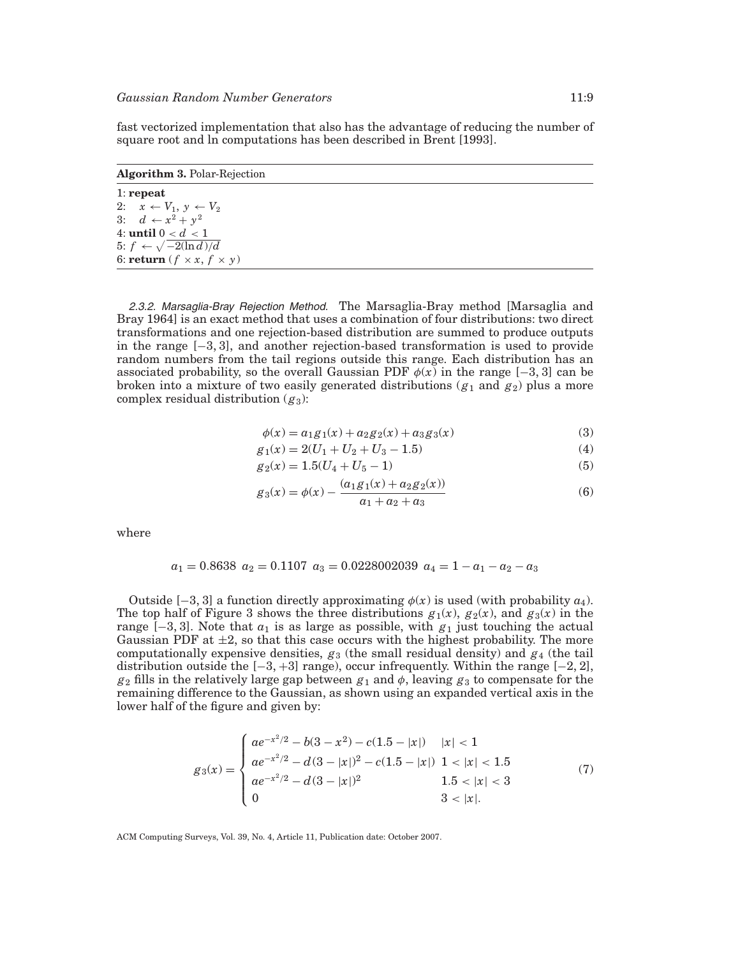fast vectorized implementation that also has the advantage of reducing the number of square root and ln computations has been described in Brent [1993].

**Algorithm 3.** Polar-Rejection 1: **repeat** 2:  $x \leftarrow V_1, y \leftarrow V_2$ 3:  $d \leftarrow x^2 + y^2$ 4: **until** 0 < *d* < 1

 $5: f \leftarrow \sqrt{-2(\ln d)/d}$ 6: **return**  $(f \times x, f \times y)$ 

*2.3.2. Marsaglia-Bray Rejection Method.* The Marsaglia-Bray method [Marsaglia and Bray 1964] is an exact method that uses a combination of four distributions: two direct transformations and one rejection-based distribution are summed to produce outputs in the range [−3, 3], and another rejection-based transformation is used to provide random numbers from the tail regions outside this range. Each distribution has an associated probability, so the overall Gaussian PDF  $\phi(x)$  in the range [-3, 3] can be broken into a mixture of two easily generated distributions  $(g_1$  and  $g_2)$  plus a more complex residual distribution (*g*3):

$$
\phi(x) = a_1 g_1(x) + a_2 g_2(x) + a_3 g_3(x) \tag{3}
$$

$$
g_1(x) = 2(U_1 + U_2 + U_3 - 1.5)
$$
\n<sup>(4)</sup>

$$
g_2(x) = 1.5(U_4 + U_5 - 1)
$$
\n
$$
(x, x, (x))_{1 \le x \le x} (x))
$$
\n(5)

$$
g_3(x) = \phi(x) - \frac{(a_1 g_1(x) + a_2 g_2(x))}{a_1 + a_2 + a_3} \tag{6}
$$

where

$$
a_1 = 0.8638 \ a_2 = 0.1107 \ a_3 = 0.0228002039 \ a_4 = 1 - a_1 - a_2 - a_3
$$

Outside  $[-3, 3]$  a function directly approximating  $\phi(x)$  is used (with probability  $a_4$ ). The top half of Figure 3 shows the three distributions  $g_1(x)$ ,  $g_2(x)$ , and  $g_3(x)$  in the range  $[-3, 3]$ . Note that  $a_1$  is as large as possible, with  $g_1$  just touching the actual Gaussian PDF at  $\pm 2$ , so that this case occurs with the highest probability. The more computationally expensive densities,  $g_3$  (the small residual density) and  $g_4$  (the tail distribution outside the  $[-3, +3]$  range), occur infrequently. Within the range  $[-2, 2]$ ,  $g_2$  fills in the relatively large gap between  $g_1$  and  $\phi$ , leaving  $g_3$  to compensate for the remaining difference to the Gaussian, as shown using an expanded vertical axis in the lower half of the figure and given by:

$$
g_3(x) = \begin{cases} ae^{-x^2/2} - b(3-x^2) - c(1.5-|x|) & |x| < 1\\ ae^{-x^2/2} - d(3-|x|)^2 - c(1.5-|x|) & 1 < |x| < 1.5\\ ae^{-x^2/2} - d(3-|x|)^2 & 1.5 < |x| < 3\\ 0 & 3 < |x|.\end{cases} \tag{7}
$$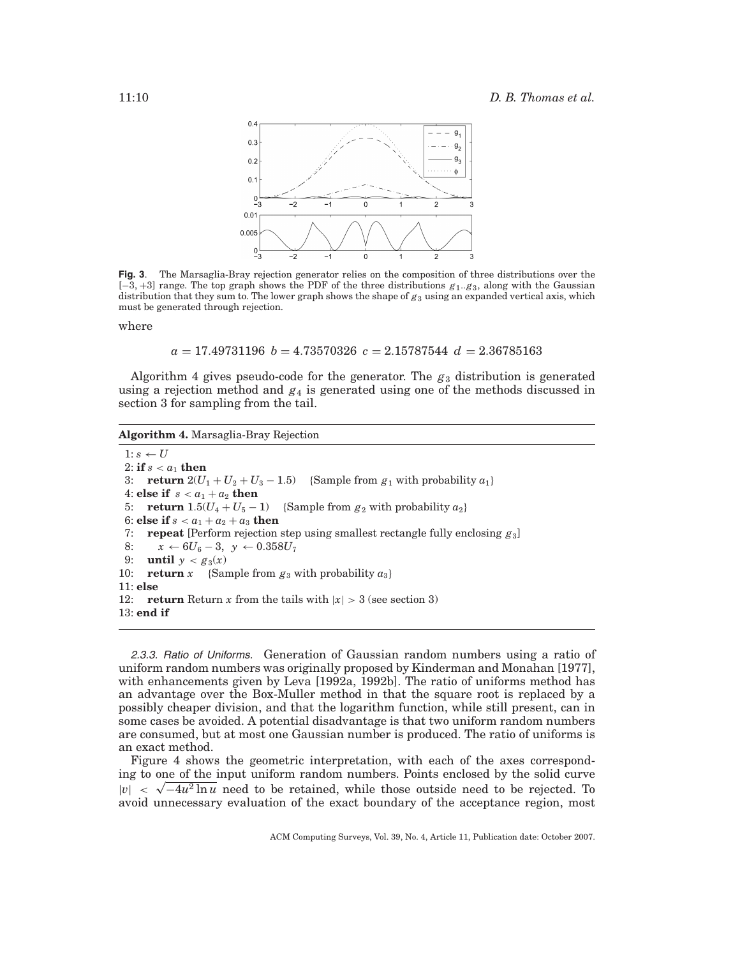

**Fig. 3**. The Marsaglia-Bray rejection generator relies on the composition of three distributions over the [−3, +3] range. The top graph shows the PDF of the three distributions *g*1..*g*3, along with the Gaussian distribution that they sum to. The lower graph shows the shape of  $g_3$  using an expanded vertical axis, which must be generated through rejection.

where

*a* = 17.49731196 *b* = 4.73570326 *c* = 2.15787544 *d* = 2.36785163

Algorithm 4 gives pseudo-code for the generator. The *g*<sup>3</sup> distribution is generated using a rejection method and  $g_4$  is generated using one of the methods discussed in section 3 for sampling from the tail.

#### **Algorithm 4.** Marsaglia-Bray Rejection

 $1: s \leftarrow U$ 2: **if**  $s < a_1$  **then** 3: **return**  $2(U_1 + U_2 + U_3 - 1.5)$  {Sample from  $g_1$  with probability  $a_1$ } 4: **else if**  $s < a_1 + a_2$  **then** 5: **return**  $1.5(U_4 + U_5 - 1)$  {Sample from  $g_2$  with probability  $a_2$ } 6: **else if**  $s < a_1 + a_2 + a_3$  **then** 7: **repeat** [Perform rejection step using smallest rectangle fully enclosing *g*3] 8:  $x \leftarrow 6U_6 - 3$ ,  $y \leftarrow 0.358U_7$ 9: **until**  $y < g_3(x)$ 10: **return** *x* {Sample from  $g_3$  with probability  $a_3$ } 11: **else** 12: **return** Return *x* from the tails with  $|x| > 3$  (see section 3) 13: **end if**

*2.3.3. Ratio of Uniforms.* Generation of Gaussian random numbers using a ratio of uniform random numbers was originally proposed by Kinderman and Monahan [1977], with enhancements given by Leva [1992a, 1992b]. The ratio of uniforms method has an advantage over the Box-Muller method in that the square root is replaced by a possibly cheaper division, and that the logarithm function, while still present, can in some cases be avoided. A potential disadvantage is that two uniform random numbers are consumed, but at most one Gaussian number is produced. The ratio of uniforms is an exact method.

Figure 4 shows the geometric interpretation, with each of the axes corresponding to one of the input uniform random numbers. Points enclosed by the solid curve  $|v|$  <  $\sqrt{-4u^2 \ln u}$  need to be retained, while those outside need to be rejected. To avoid unnecessary evaluation of the exact boundary of the acceptance region, most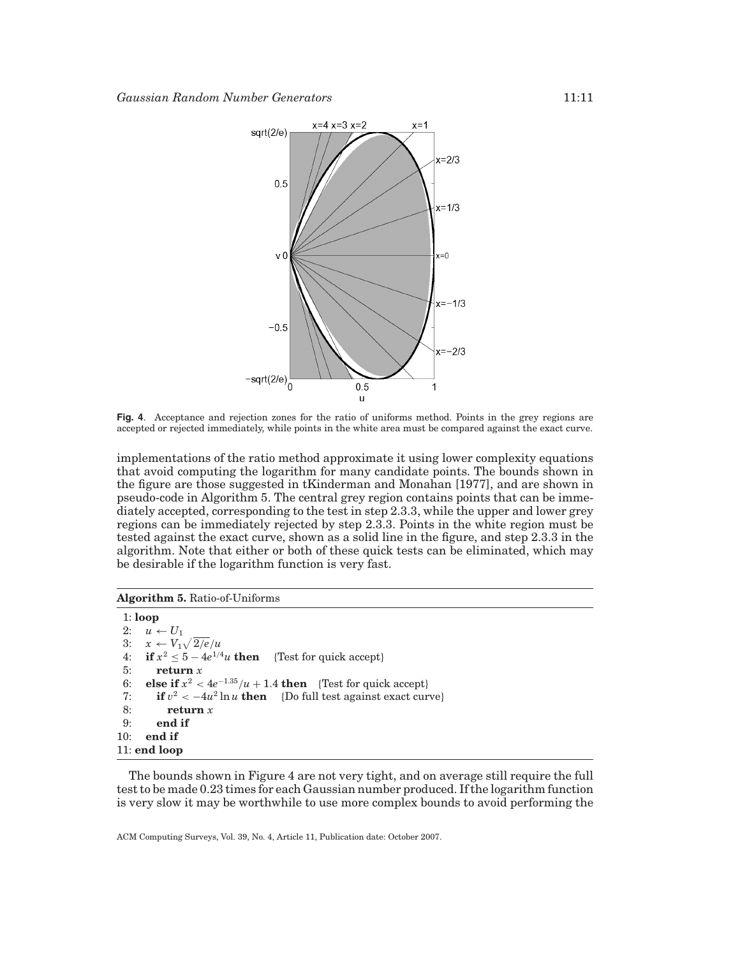

**Fig. 4**. Acceptance and rejection zones for the ratio of uniforms method. Points in the grey regions are accepted or rejected immediately, while points in the white area must be compared against the exact curve.

implementations of the ratio method approximate it using lower complexity equations that avoid computing the logarithm for many candidate points. The bounds shown in the figure are those suggested in tKinderman and Monahan [1977], and are shown in pseudo-code in Algorithm 5. The central grey region contains points that can be immediately accepted, corresponding to the test in step 2.3.3, while the upper and lower grey regions can be immediately rejected by step 2.3.3. Points in the white region must be tested against the exact curve, shown as a solid line in the figure, and step 2.3.3 in the algorithm. Note that either or both of these quick tests can be eliminated, which may be desirable if the logarithm function is very fast.

**Algorithm 5.** Ratio-of-Uniforms

```
1: loop
 2: u \leftarrow U_13: x \leftarrow V_1 \sqrt{2/e/u}4: if x^2 \le 5 - 4e^{1/4}u then {Test for quick accept}
 5: return x
 6: else if x^2 < 4e^{-1.35}/u + 1.4 then {Test for quick accept}<br>7: if v^2 < -4u^2 \ln u then {Do full test against exact cur
         if v^2 < -4u^2 \ln u then {Do full test against exact curve}
 8: return x
 9: end if
10: end if
11: end loop
```
The bounds shown in Figure 4 are not very tight, and on average still require the full test to be made 0.23 times for each Gaussian number produced. If the logarithm function is very slow it may be worthwhile to use more complex bounds to avoid performing the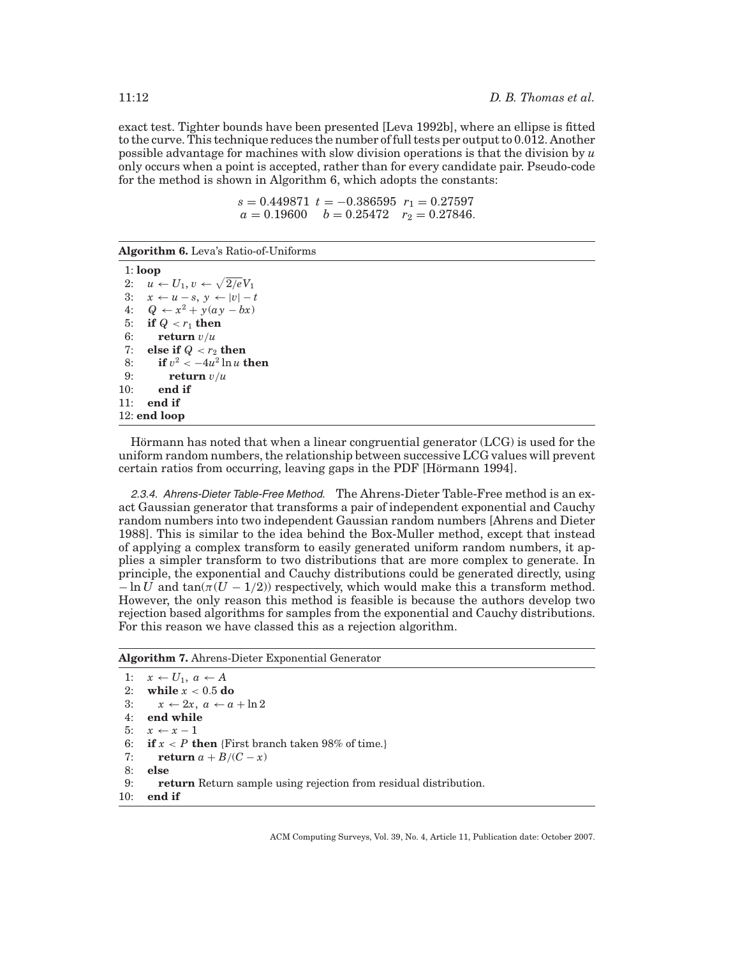exact test. Tighter bounds have been presented [Leva 1992b], where an ellipse is fitted to the curve. This technique reduces the number of full tests per output to 0.012. Another possible advantage for machines with slow division operations is that the division by *u* only occurs when a point is accepted, rather than for every candidate pair. Pseudo-code for the method is shown in Algorithm 6, which adopts the constants:

> *s* = 0.449871 *t* = −0.386595 *r*<sup>1</sup> = 0.27597  $a = 0.19600$   $b = 0.25472$   $r_2 = 0.27846$ .

**Algorithm 6.** Leva's Ratio-of-Uniforms

1: **loop** 2:  $u \leftarrow U_1, v \leftarrow \sqrt{2/e}V_1$ 3:  $x \leftarrow u - s, y \leftarrow |v| - t$ 4:  $Q \leftarrow x^2 + y(ay - bx)$ 5: **if**  $Q < r_1$  **then** 6: **return**  $v/u$ 7: **else if**  $Q < r_2$  **then** 8: **if**  $v^2 < -4u^2 \ln u$  **then** 9: **return** *v*/*u* 10: **end if** 11: **end if** 12: **end loop**

Hörmann has noted that when a linear congruential generator  $(LCG)$  is used for the uniform random numbers, the relationship between successive LCG values will prevent certain ratios from occurring, leaving gaps in the PDF [Hörmann 1994].

*2.3.4. Ahrens-Dieter Table-Free Method.* The Ahrens-Dieter Table-Free method is an exact Gaussian generator that transforms a pair of independent exponential and Cauchy random numbers into two independent Gaussian random numbers [Ahrens and Dieter 1988]. This is similar to the idea behind the Box-Muller method, except that instead of applying a complex transform to easily generated uniform random numbers, it applies a simpler transform to two distributions that are more complex to generate. In principle, the exponential and Cauchy distributions could be generated directly, using  $-\ln U$  and tan( $\pi(U-1/2)$ ) respectively, which would make this a transform method. However, the only reason this method is feasible is because the authors develop two rejection based algorithms for samples from the exponential and Cauchy distributions. For this reason we have classed this as a rejection algorithm.

**Algorithm 7.** Ahrens-Dieter Exponential Generator

1:  $x \leftarrow U_1, a \leftarrow A$ <br>2: while  $x < 0.5$  d 2: **while** *x* < 0.5 **do** 3:  $x \leftarrow 2x, a \leftarrow a + \ln 2$ 4: **end while** 5:  $x \leftarrow x-1$ 6: **if**  $x < P$  **then** {First branch taken 98% of time.} 7: **return**  $a + B/(C - x)$ 8: **else** 9: **return** Return sample using rejection from residual distribution. 10: **end if**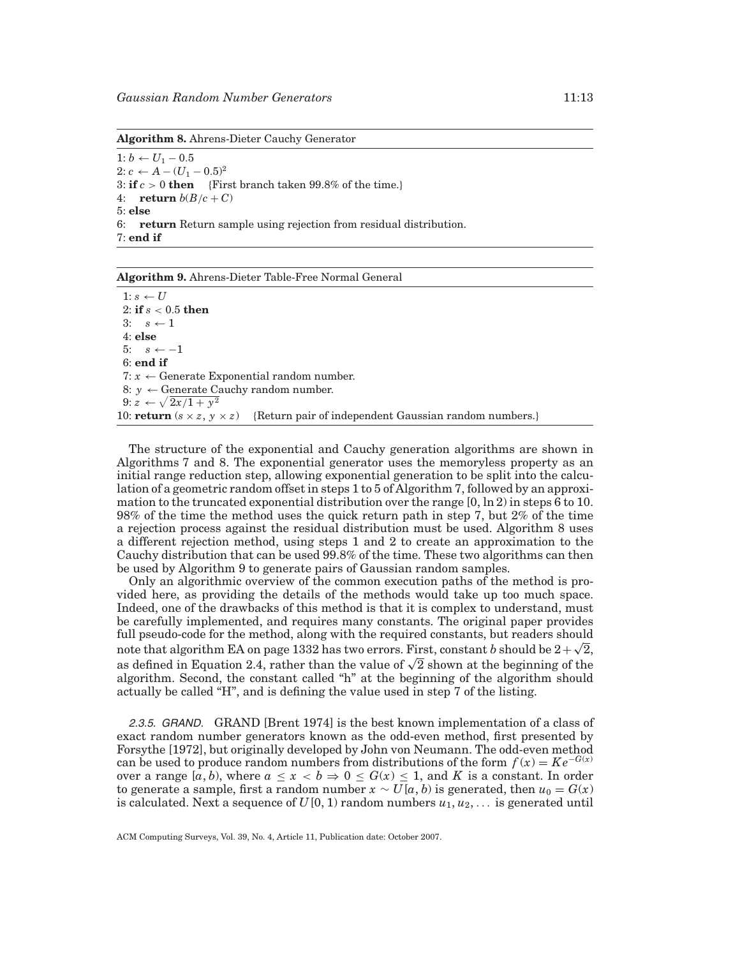**Algorithm 8.** Ahrens-Dieter Cauchy Generator

 $1: b \leftarrow U_1 - 0.5$ 2:  $c \leftarrow A - (U_1 - 0.5)^2$ 3: **if**  $c > 0$  **then** {First branch taken 99.8% of the time.} 4: **return**  $b(B/c + C)$ 5: **else** 6: **return** Return sample using rejection from residual distribution. 7: **end if**

**Algorithm 9.** Ahrens-Dieter Table-Free Normal General

 $1: s \leftarrow U$ 2: **if** *s* < 0.5 **then** 3:  $s \leftarrow 1$ 4: **else** 5:  $s \leftarrow -1$ 6: **end if** 7:  $x \leftarrow$  Generate Exponential random number. 8:  $y \leftarrow$  Generate Cauchy random number.  $9: z \leftarrow \sqrt{2x/1 + y^2}$ 10: **return**  $(s \times z, y \times z)$  {Return pair of independent Gaussian random numbers.}

The structure of the exponential and Cauchy generation algorithms are shown in Algorithms 7 and 8. The exponential generator uses the memoryless property as an initial range reduction step, allowing exponential generation to be split into the calculation of a geometric random offset in steps 1 to 5 of Algorithm 7, followed by an approximation to the truncated exponential distribution over the range  $[0, \ln 2)$  in steps 6 to 10. 98% of the time the method uses the quick return path in step 7, but 2% of the time a rejection process against the residual distribution must be used. Algorithm 8 uses a different rejection method, using steps 1 and 2 to create an approximation to the Cauchy distribution that can be used 99.8% of the time. These two algorithms can then be used by Algorithm 9 to generate pairs of Gaussian random samples.

Only an algorithmic overview of the common execution paths of the method is provided here, as providing the details of the methods would take up too much space. Indeed, one of the drawbacks of this method is that it is complex to understand, must be carefully implemented, and requires many constants. The original paper provides full pseudo-code for the method, along with the required constants, but readers should note that algorithm EA on page 1332 has two errors. First, constants, but readers snould be  $2+\sqrt{2},$ note that algorithm EA on page 1332 has two errors. First, constant  $b$  should be  $2 + \sqrt{2}$ , as defined in Equation 2.4, rather than the value of  $\sqrt{2}$  shown at the beginning of the algorithm. Second, the constant called "h" at the beginning of the algorithm should actually be called "H", and is defining the value used in step 7 of the listing.

*2.3.5. GRAND.* GRAND [Brent 1974] is the best known implementation of a class of exact random number generators known as the odd-even method, first presented by Forsythe [1972], but originally developed by John von Neumann. The odd-even method can be used to produce random numbers from distributions of the form  $f(x) = Ke^{-G(x)}$ over a range  $[a, b)$ , where  $a \le x < b \Rightarrow 0 \le G(x) \le 1$ , and K is a constant. In order to generate a sample, first a random number  $x \sim U(a, b)$  is generated, then  $u_0 = G(x)$ is calculated. Next a sequence of  $U[0, 1)$  random numbers  $u_1, u_2, \ldots$  is generated until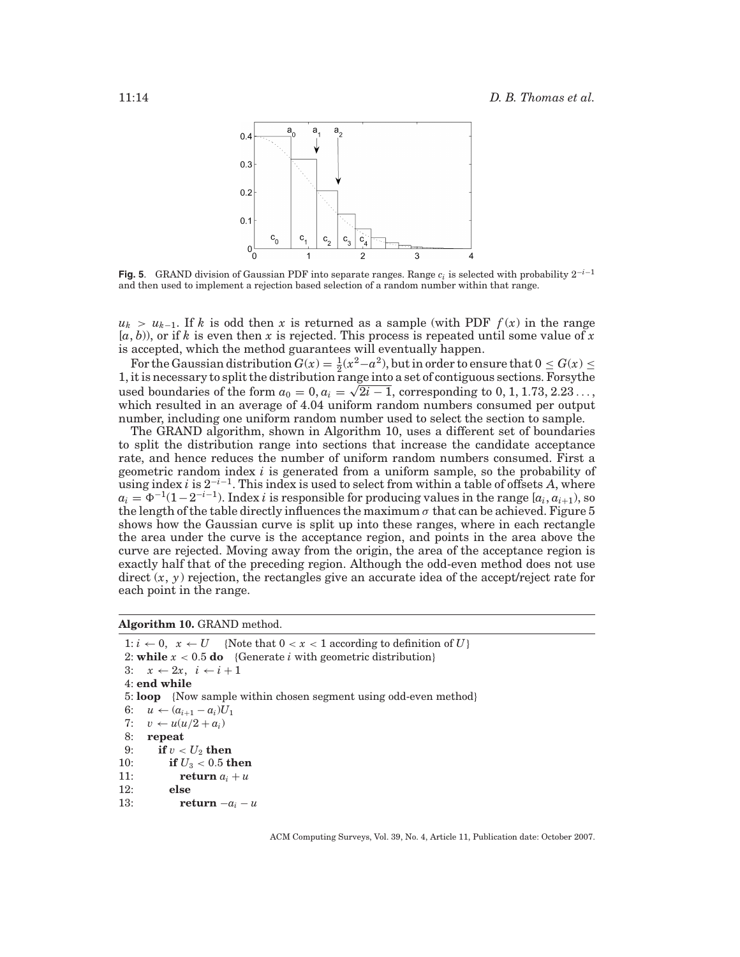

**Fig. 5**. GRAND division of Gaussian PDF into separate ranges. Range *ci* is selected with probability 2−*i*−<sup>1</sup> and then used to implement a rejection based selection of a random number within that range.

 $u_k > u_{k-1}$ . If *k* is odd then *x* is returned as a sample (with PDF  $f(x)$  in the range  $[a, b)$ , or if *k* is even then *x* is rejected. This process is repeated until some value of *x* is accepted, which the method guarantees will eventually happen.

For the Gaussian distribution  $G(x) = \frac{1}{2}(x^2-a^2)$ , but in order to ensure that  $0 \le G(x) \le$ 1, it is necessary to split the distribution range into a set of contiguous sections. Forsythe used boundaries of the form  $a_0 = 0, a_i = \sqrt{2i - 1}$ , corresponding to 0, 1, 1.73, 2.23... which resulted in an average of 4.04 uniform random numbers consumed per output number, including one uniform random number used to select the section to sample.

The GRAND algorithm, shown in Algorithm 10, uses a different set of boundaries to split the distribution range into sections that increase the candidate acceptance rate, and hence reduces the number of uniform random numbers consumed. First a geometric random index *i* is generated from a uniform sample, so the probability of using index *i* is 2<sup>−</sup>*i*<sup>−</sup>1. This index is used to select from within a table of offsets *A*, where  $a_i = \Phi^{-1}(1-2^{-i-1})$ . Index *i* is responsible for producing values in the range  $[a_i, a_{i+1})$ , so the length of the table directly influences the maximum  $\sigma$  that can be achieved. Figure 5 shows how the Gaussian curve is split up into these ranges, where in each rectangle the area under the curve is the acceptance region, and points in the area above the curve are rejected. Moving away from the origin, the area of the acceptance region is exactly half that of the preceding region. Although the odd-even method does not use direct  $(x, y)$  rejection, the rectangles give an accurate idea of the accept/reject rate for each point in the range.

**Algorithm 10.** GRAND method.

1:  $i \leftarrow 0$ ,  $x \leftarrow U$  {Note that  $0 < x < 1$  according to definition of *U*} 2: **while**  $x < 0.5$  **do** {Generate *i* with geometric distribution} 3:  $x \leftarrow 2x, i \leftarrow i+1$ 4: **end while** 5: **loop** {Now sample within chosen segment using odd-even method} 6: *u* ←  $(a_{i+1} - a_i)U_1$ 7:  $v \leftarrow u(u/2 + a_i)$ 8: **repeat** 9: **if**  $v < U_2$  **then**<br>10: **if**  $U_3 < 0.5$  **t** if  $U_3 < 0.5$  then 11: **return**  $a_i + u$ <br>12: **else** 12: **else** 13: **return** −*ai* − *u*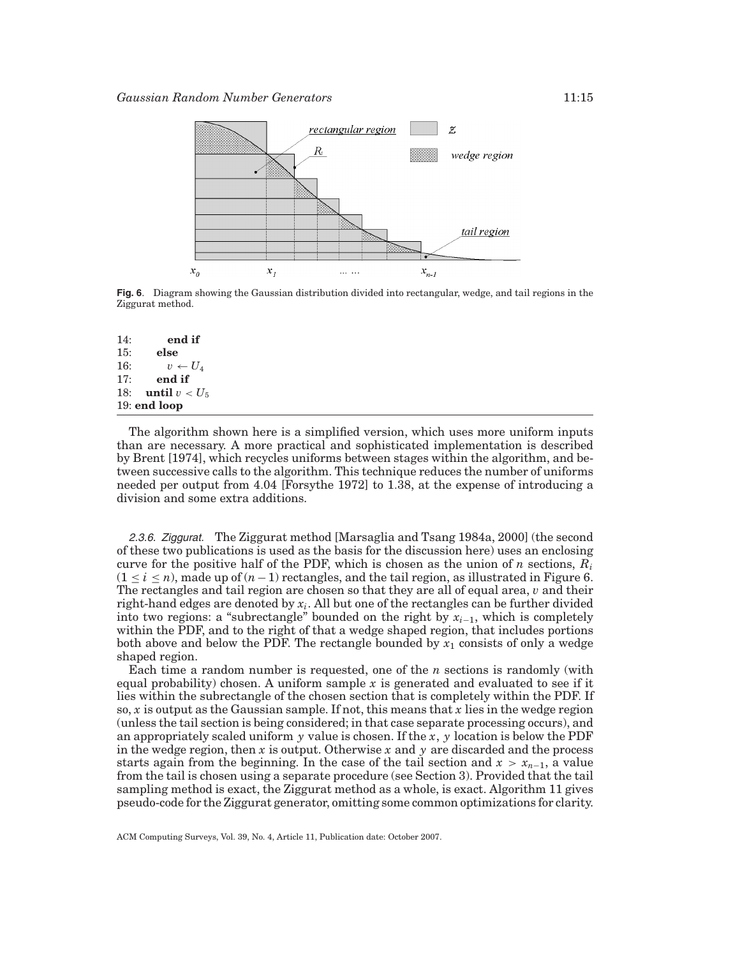

**Fig. 6**. Diagram showing the Gaussian distribution divided into rectangular, wedge, and tail regions in the Ziggurat method.

| 14: | end if                                   |
|-----|------------------------------------------|
| 15: | else                                     |
| 16: | $v \leftarrow U_{\scriptscriptstyle{A}}$ |
| 17: | end if                                   |
| 18: | until $v < U_5$                          |
|     | $19:$ end loop                           |

The algorithm shown here is a simplified version, which uses more uniform inputs than are necessary. A more practical and sophisticated implementation is described by Brent [1974], which recycles uniforms between stages within the algorithm, and between successive calls to the algorithm. This technique reduces the number of uniforms needed per output from 4.04 [Forsythe 1972] to 1.38, at the expense of introducing a division and some extra additions.

*2.3.6. Ziggurat.* The Ziggurat method [Marsaglia and Tsang 1984a, 2000] (the second of these two publications is used as the basis for the discussion here) uses an enclosing curve for the positive half of the PDF, which is chosen as the union of *n* sections,  $R_i$  $(1 \le i \le n)$ , made up of  $(n-1)$  rectangles, and the tail region, as illustrated in Figure 6. The rectangles and tail region are chosen so that they are all of equal area, *v* and their right-hand edges are denoted by *xi*. All but one of the rectangles can be further divided into two regions: a "subrectangle" bounded on the right by *xi*−1, which is completely within the PDF, and to the right of that a wedge shaped region, that includes portions both above and below the PDF. The rectangle bounded by  $x_1$  consists of only a wedge shaped region.

Each time a random number is requested, one of the *n* sections is randomly (with equal probability) chosen. A uniform sample  $x$  is generated and evaluated to see if it lies within the subrectangle of the chosen section that is completely within the PDF. If so, *x* is output as the Gaussian sample. If not, this means that *x* lies in the wedge region (unless the tail section is being considered; in that case separate processing occurs), and an appropriately scaled uniform  $\gamma$  value is chosen. If the  $x$ ,  $\gamma$  location is below the PDF in the wedge region, then  $x$  is output. Otherwise  $x$  and  $y$  are discarded and the process starts again from the beginning. In the case of the tail section and  $x > x_{n-1}$ , a value from the tail is chosen using a separate procedure (see Section 3). Provided that the tail sampling method is exact, the Ziggurat method as a whole, is exact. Algorithm 11 gives pseudo-code for the Ziggurat generator, omitting some common optimizations for clarity.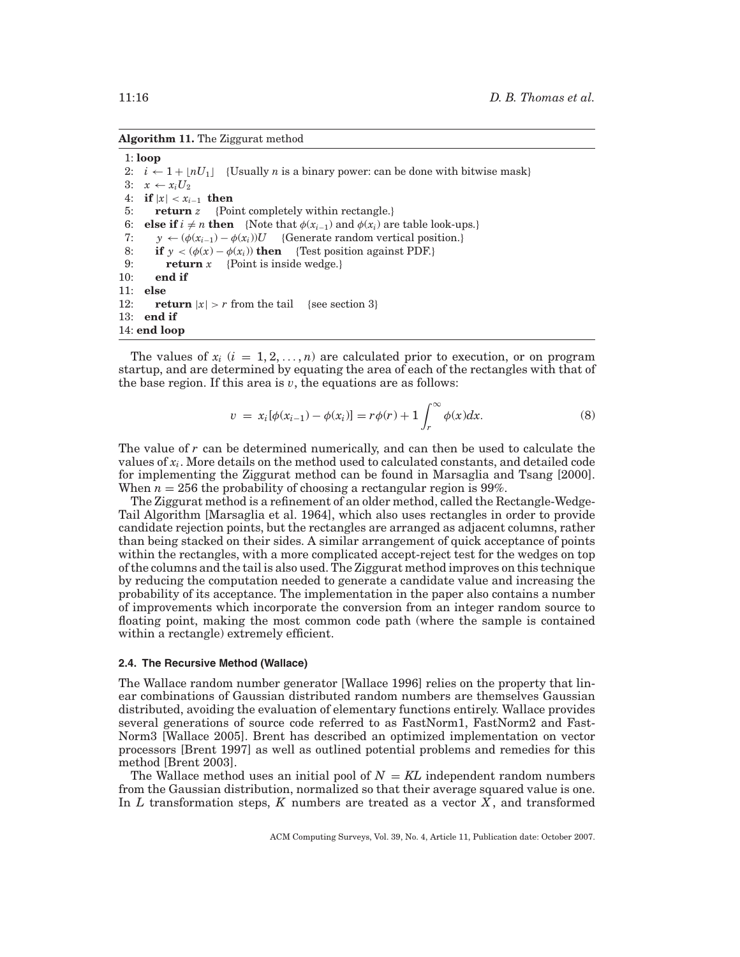#### **Algorithm 11.** The Ziggurat method

1: **loop** 2:  $i \leftarrow 1 + |nU_1|$  {Usually *n* is a binary power: can be done with bitwise mask} 3:  $x \leftarrow x_i U_2$ 4: **if**  $|x| < x_{i-1}$  **then**<br>5: **return** *z* {Poi **return** *z* {Point completely within rectangle.} 6: **else if** *i* ≠ *n* **then** {Note that  $\phi(x_{i-1})$  and  $\phi(x_i)$  are table look-ups.}<br>7:  $\gamma \leftarrow (\phi(x_{i-1}) - \phi(x_i))U$  {Generate random vertical position.}  $y \leftarrow (\phi(x_{i-1}) - \phi(x_i))U$  {Generate random vertical position.} 8: **if**  $y < (\phi(x) - \phi(x_i))$  **then** {Test position against PDF.} 9: **return** *x* {Point is inside wedge.} 10: **end if** 11: **else** 12: **return**  $|x| > r$  from the tail {see section 3} 13: **end if** 14: **end loop**

The values of  $x_i$   $(i = 1, 2, ..., n)$  are calculated prior to execution, or on program startup, and are determined by equating the area of each of the rectangles with that of the base region. If this area is *v*, the equations are as follows:

$$
v = x_i [\phi(x_{i-1}) - \phi(x_i)] = r\phi(r) + 1 \int_r^{\infty} \phi(x) dx.
$$
 (8)

The value of *r* can be determined numerically, and can then be used to calculate the values of *xi*. More details on the method used to calculated constants, and detailed code for implementing the Ziggurat method can be found in Marsaglia and Tsang [2000]. When  $n = 256$  the probability of choosing a rectangular region is 99%.

The Ziggurat method is a refinement of an older method, called the Rectangle-Wedge-Tail Algorithm [Marsaglia et al. 1964], which also uses rectangles in order to provide candidate rejection points, but the rectangles are arranged as adjacent columns, rather than being stacked on their sides. A similar arrangement of quick acceptance of points within the rectangles, with a more complicated accept-reject test for the wedges on top of the columns and the tail is also used. The Ziggurat method improves on this technique by reducing the computation needed to generate a candidate value and increasing the probability of its acceptance. The implementation in the paper also contains a number of improvements which incorporate the conversion from an integer random source to floating point, making the most common code path (where the sample is contained within a rectangle) extremely efficient.

### **2.4. The Recursive Method (Wallace)**

The Wallace random number generator [Wallace 1996] relies on the property that linear combinations of Gaussian distributed random numbers are themselves Gaussian distributed, avoiding the evaluation of elementary functions entirely. Wallace provides several generations of source code referred to as FastNorm1, FastNorm2 and Fast-Norm3 [Wallace 2005]. Brent has described an optimized implementation on vector processors [Brent 1997] as well as outlined potential problems and remedies for this method [Brent 2003].

The Wallace method uses an initial pool of  $N = KL$  independent random numbers from the Gaussian distribution, normalized so that their average squared value is one. In *L* transformation steps, *K* numbers are treated as a vector *X* , and transformed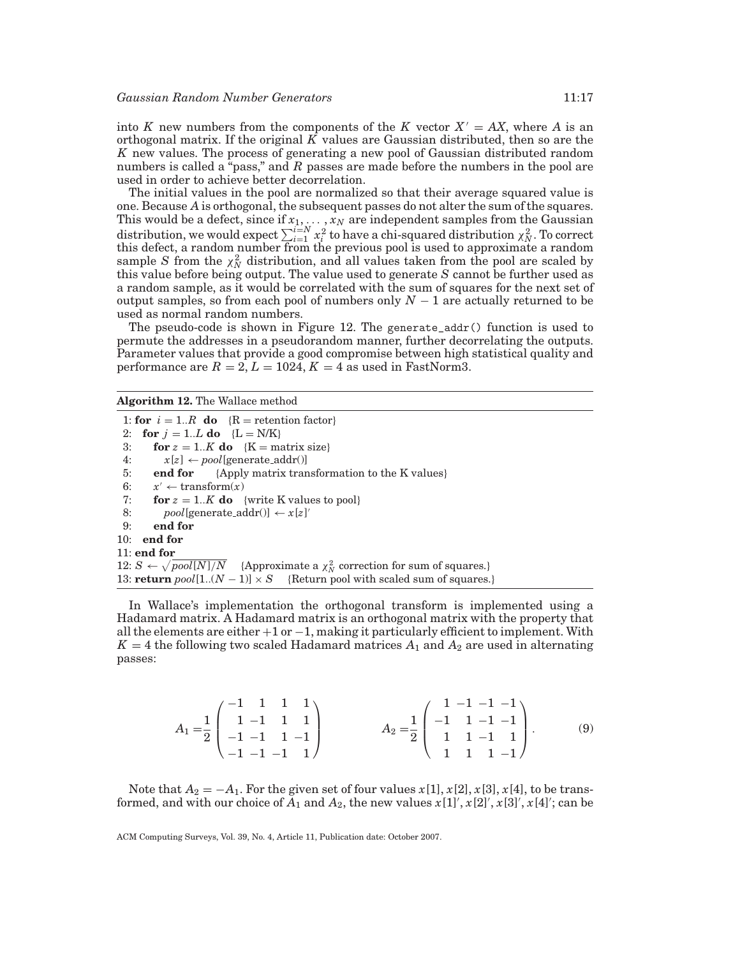into *K* new numbers from the components of the *K* vector  $X' = AX$ , where *A* is an orthogonal matrix. If the original *K* values are Gaussian distributed, then so are the *K* new values. The process of generating a new pool of Gaussian distributed random numbers is called a "pass," and *R* passes are made before the numbers in the pool are used in order to achieve better decorrelation.

The initial values in the pool are normalized so that their average squared value is one. Because *A* is orthogonal, the subsequent passes do not alter the sum of the squares. This would be a defect, since if  $x_1, \ldots, x_N$  are independent samples from the Gaussian distribution, we would expect  $\sum_{i=1}^{i=N} x_i^2$  to have a chi-squared distribution  $\chi^2_N$ . To correct this defect, a random number from the previous pool is used to approximate a random sample *S* from the  $\chi_N^2$  distribution, and all values taken from the pool are scaled by this value before being output. The value used to generate *S* cannot be further used as a random sample, as it would be correlated with the sum of squares for the next set of output samples, so from each pool of numbers only  $N-1$  are actually returned to be used as normal random numbers.

The pseudo-code is shown in Figure 12. The generate\_addr() function is used to permute the addresses in a pseudorandom manner, further decorrelating the outputs. Parameter values that provide a good compromise between high statistical quality and performance are  $R = 2$ ,  $L = 1024$ ,  $K = 4$  as used in FastNorm3.

**Algorithm 12.** The Wallace method

1: **for**  $i = 1..R$  **do**  ${R}$  = retention factor 2: **for**  $j = 1...L$  **do**  ${L = N/K}$ 3: **for**  $z = 1..K$  **do**  $\{K = \text{matrix size}\}$ 4:  $x[z] \leftarrow pool[\text{generate\_addr}()]$ 5: **end for** {Apply matrix transformation to the K values} 6:  $x' \leftarrow \text{transform}(x)$ 7: **for**  $z = 1..K$  **do** {write K values to pool} 8:  $pool[generate\_addr()] \leftarrow x[z]'$ 9: **end for** 10: **end for** 11: **end for** 12:  $S \leftarrow \sqrt{pool[N]/N}$  {Approximate a  $\chi^2_N$  correction for sum of squares.} 13: **return**  $pool[1..(N-1)] \times S$  {Return pool with scaled sum of squares.}

In Wallace's implementation the orthogonal transform is implemented using a Hadamard matrix. A Hadamard matrix is an orthogonal matrix with the property that all the elements are either  $+1$  or  $-1$ , making it particularly efficient to implement. With  $K = 4$  the following two scaled Hadamard matrices  $A_1$  and  $A_2$  are used in alternating passes:

$$
A_1 = \frac{1}{2} \begin{pmatrix} -1 & 1 & 1 & 1 \\ 1 & -1 & 1 & 1 \\ -1 & -1 & 1 & -1 \\ -1 & -1 & -1 & 1 \end{pmatrix} \qquad A_2 = \frac{1}{2} \begin{pmatrix} 1 & -1 & -1 & -1 \\ -1 & 1 & -1 & -1 \\ 1 & 1 & -1 & 1 \\ 1 & 1 & 1 & -1 \end{pmatrix} . \tag{9}
$$

Note that  $A_2 = -A_1$ . For the given set of four values  $x[1]$ ,  $x[2]$ ,  $x[3]$ ,  $x[4]$ , to be transformed, and with our choice of  $\overline{A}_1$  and  $A_2$ , the new values  $x[1]'$ ,  $x[2]'$ ,  $x[3]'$ ,  $x[4]'$ ; can be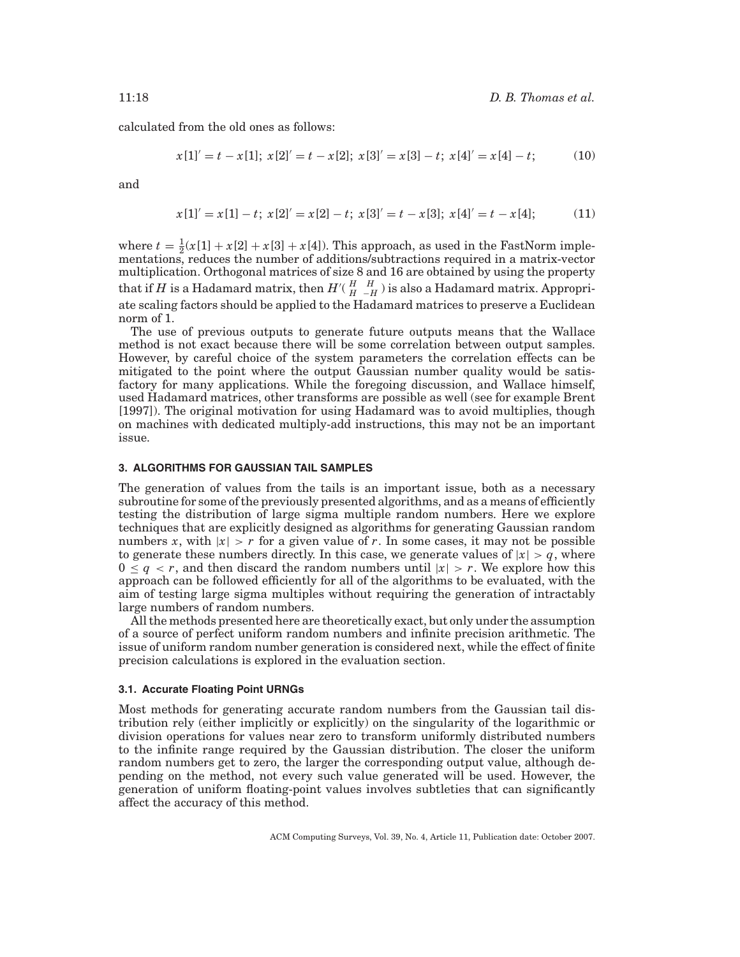calculated from the old ones as follows:

$$
x[1]' = t - x[1]; \ x[2]' = t - x[2]; \ x[3]' = x[3] - t; \ x[4]' = x[4] - t; \tag{10}
$$

and

$$
x[1]' = x[1] - t; \ x[2]' = x[2] - t; \ x[3]' = t - x[3]; \ x[4]' = t - x[4]; \tag{11}
$$

where  $t = \frac{1}{2}(x[1] + x[2] + x[3] + x[4])$ . This approach, as used in the FastNorm implementations, reduces the number of additions/subtractions required in a matrix-vector multiplication. Orthogonal matrices of size 8 and 16 are obtained by using the property that if  $H$  is a Hadamard matrix, then  $H'(\begin{smallmatrix} H & H \ H' & -H \end{smallmatrix})$  is also a Hadamard matrix. Appropriate scaling factors should be applied to the Hadamard matrices to preserve a Euclidean norm of 1.

The use of previous outputs to generate future outputs means that the Wallace method is not exact because there will be some correlation between output samples. However, by careful choice of the system parameters the correlation effects can be mitigated to the point where the output Gaussian number quality would be satisfactory for many applications. While the foregoing discussion, and Wallace himself, used Hadamard matrices, other transforms are possible as well (see for example Brent [1997]). The original motivation for using Hadamard was to avoid multiplies, though on machines with dedicated multiply-add instructions, this may not be an important issue.

#### **3. ALGORITHMS FOR GAUSSIAN TAIL SAMPLES**

The generation of values from the tails is an important issue, both as a necessary subroutine for some of the previously presented algorithms, and as a means of efficiently testing the distribution of large sigma multiple random numbers. Here we explore techniques that are explicitly designed as algorithms for generating Gaussian random numbers *x*, with  $|x| > r$  for a given value of *r*. In some cases, it may not be possible to generate these numbers directly. In this case, we generate values of  $|x| > q$ , where  $0 \leq q \leq r$ , and then discard the random numbers until  $|x| > r$ . We explore how this approach can be followed efficiently for all of the algorithms to be evaluated, with the aim of testing large sigma multiples without requiring the generation of intractably large numbers of random numbers.

All the methods presented here are theoretically exact, but only under the assumption of a source of perfect uniform random numbers and infinite precision arithmetic. The issue of uniform random number generation is considered next, while the effect of finite precision calculations is explored in the evaluation section.

#### **3.1. Accurate Floating Point URNGs**

Most methods for generating accurate random numbers from the Gaussian tail distribution rely (either implicitly or explicitly) on the singularity of the logarithmic or division operations for values near zero to transform uniformly distributed numbers to the infinite range required by the Gaussian distribution. The closer the uniform random numbers get to zero, the larger the corresponding output value, although depending on the method, not every such value generated will be used. However, the generation of uniform floating-point values involves subtleties that can significantly affect the accuracy of this method.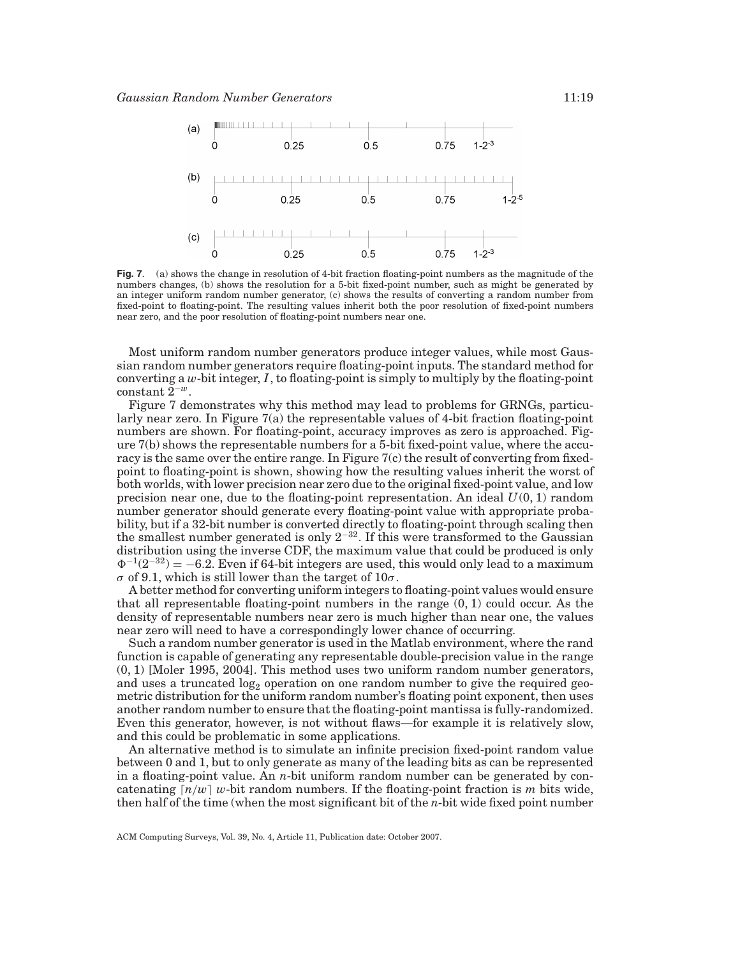

**Fig. 7.** (a) shows the change in resolution of 4-bit fraction floating-point numbers as the magnitude of the numbers changes, (b) shows the resolution for a 5-bit fixed-point number, such as might be generated by an integer uniform random number generator, (c) shows the results of converting a random number from fixed-point to floating-point. The resulting values inherit both the poor resolution of fixed-point numbers near zero, and the poor resolution of floating-point numbers near one.

Most uniform random number generators produce integer values, while most Gaussian random number generators require floating-point inputs. The standard method for converting a *w*-bit integer, *I* , to floating-point is simply to multiply by the floating-point constant 2<sup>−</sup>*<sup>w</sup>*.

Figure 7 demonstrates why this method may lead to problems for GRNGs, particularly near zero. In Figure  $7(a)$  the representable values of 4-bit fraction floating-point numbers are shown. For floating-point, accuracy improves as zero is approached. Figure 7(b) shows the representable numbers for a 5-bit fixed-point value, where the accuracy is the same over the entire range. In Figure  $7(c)$  the result of converting from fixedpoint to floating-point is shown, showing how the resulting values inherit the worst of both worlds, with lower precision near zero due to the original fixed-point value, and low precision near one, due to the floating-point representation. An ideal *U*(0, 1) random number generator should generate every floating-point value with appropriate probability, but if a 32-bit number is converted directly to floating-point through scaling then the smallest number generated is only  $2^{-32}$ . If this were transformed to the Gaussian distribution using the inverse CDF, the maximum value that could be produced is only  $\Phi^{-1}(2^{-32}) = -6.2$ . Even if 64-bit integers are used, this would only lead to a maximum σ of 9.1, which is still lower than the target of 10σ.

A better method for converting uniform integers to floating-point values would ensure that all representable floating-point numbers in the range  $(0, 1)$  could occur. As the density of representable numbers near zero is much higher than near one, the values near zero will need to have a correspondingly lower chance of occurring.

Such a random number generator is used in the Matlab environment, where the rand function is capable of generating any representable double-precision value in the range  $(0, 1)$  [Moler 1995, 2004]. This method uses two uniform random number generators, and uses a truncated  $log<sub>2</sub>$  operation on one random number to give the required geometric distribution for the uniform random number's floating point exponent, then uses another random number to ensure that the floating-point mantissa is fully-randomized. Even this generator, however, is not without flaws—for example it is relatively slow, and this could be problematic in some applications.

An alternative method is to simulate an infinite precision fixed-point random value between 0 and 1, but to only generate as many of the leading bits as can be represented in a floating-point value. An *n*-bit uniform random number can be generated by concatenating  $\lceil n/w \rceil$  *w*-bit random numbers. If the floating-point fraction is *m* bits wide, then half of the time (when the most significant bit of the *n*-bit wide fixed point number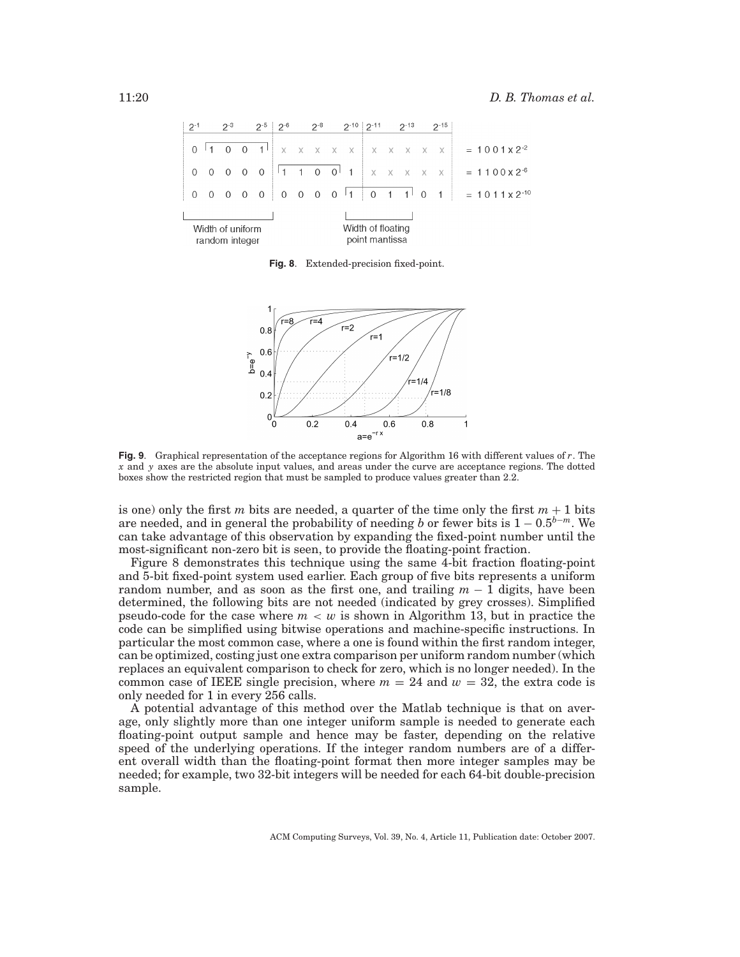| $2 - 1$  | $2 - 3$                            | $2 - 5$ | $2 - 6$          | $2^{-8}$ | $2^{-10}$ 2-11                      |                                     | $2 - 13$        | $2 - 15$     |                         |
|----------|------------------------------------|---------|------------------|----------|-------------------------------------|-------------------------------------|-----------------|--------------|-------------------------|
| $\Omega$ | 1100                               | $-1$    |                  |          | $x \times x \times x$               | $X$ $X$ $X$ $X$                     |                 | $\mathsf{X}$ | $= 1001x2^{-2}$         |
|          | $0\quad 0\quad 0\quad 0\quad 0$    |         | $11 \t1 \t0 \t0$ |          | $-1$                                |                                     | $X$ $X$ $X$ $X$ |              | $= 1100x2^{-6}$         |
| $\Omega$ |                                    |         |                  |          | 0 0 0 0   0 0 0 0   1   0 1 1   0 1 |                                     |                 |              | $= 1011 \times 2^{-10}$ |
|          | Width of uniform<br>random integer |         |                  |          |                                     | Width of floating<br>point mantissa |                 |              |                         |

**Fig. 8**. Extended-precision fixed-point.



**Fig. 9**. Graphical representation of the acceptance regions for Algorithm 16 with different values of *r*. The *x* and *y* axes are the absolute input values, and areas under the curve are acceptance regions. The dotted boxes show the restricted region that must be sampled to produce values greater than 2.2.

is one) only the first *m* bits are needed, a quarter of the time only the first  $m + 1$  bits are needed, and in general the probability of needing *b* or fewer bits is 1 − 0.5*<sup>b</sup>*−*<sup>m</sup>*. We can take advantage of this observation by expanding the fixed-point number until the most-significant non-zero bit is seen, to provide the floating-point fraction.

Figure 8 demonstrates this technique using the same 4-bit fraction floating-point and 5-bit fixed-point system used earlier. Each group of five bits represents a uniform random number, and as soon as the first one, and trailing  $m - 1$  digits, have been determined, the following bits are not needed (indicated by grey crosses). Simplified pseudo-code for the case where *m* < *w* is shown in Algorithm 13, but in practice the code can be simplified using bitwise operations and machine-specific instructions. In particular the most common case, where a one is found within the first random integer, can be optimized, costing just one extra comparison per uniform random number (which replaces an equivalent comparison to check for zero, which is no longer needed). In the common case of IEEE single precision, where  $m = 24$  and  $w = 32$ , the extra code is only needed for 1 in every 256 calls.

A potential advantage of this method over the Matlab technique is that on average, only slightly more than one integer uniform sample is needed to generate each floating-point output sample and hence may be faster, depending on the relative speed of the underlying operations. If the integer random numbers are of a different overall width than the floating-point format then more integer samples may be needed; for example, two 32-bit integers will be needed for each 64-bit double-precision sample.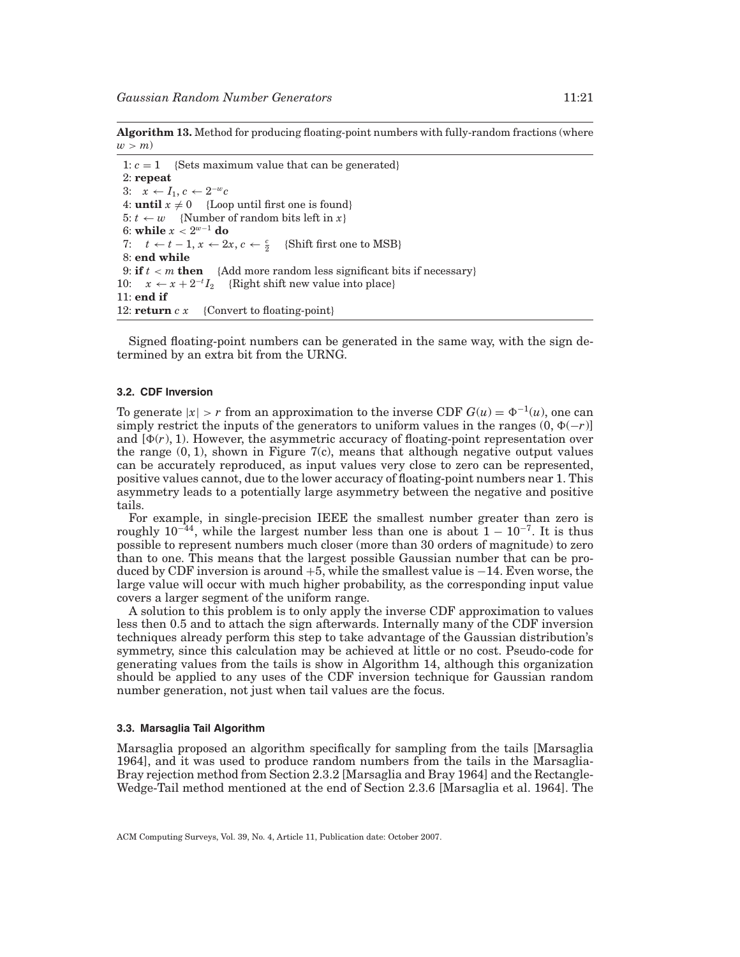**Algorithm 13.** Method for producing floating-point numbers with fully-random fractions (where  $w > m$ 

1:  $c = 1$  {Sets maximum value that can be generated} 2: **repeat** 3:  $x \leftarrow I_1, c \leftarrow 2^{-w}c$ 4: **until**  $x \neq 0$  {Loop until first one is found} 5:  $t \leftarrow w$  {Number of random bits left in *x*} 6: **while** *x* < 2*<sup>w</sup>*−<sup>1</sup> **do** 7:  $t \leftarrow t - 1, x \leftarrow 2x, c \leftarrow \frac{c}{2}$  {Shift first one to MSB} 8: **end while** 9: **if**  $t < m$  **then** {Add more random less significant bits if necessary} 10:  $x \leftarrow x + 2^{-t} I_2$  {Right shift new value into place} 11: **end if** 12: **return** *c x* {Convert to floating-point}

Signed floating-point numbers can be generated in the same way, with the sign determined by an extra bit from the URNG.

### **3.2. CDF Inversion**

To generate  $|x| > r$  from an approximation to the inverse CDF  $G(u) = \Phi^{-1}(u)$ , one can simply restrict the inputs of the generators to uniform values in the ranges  $(0, \Phi(-r))$ and  $[\Phi(r), 1]$ . However, the asymmetric accuracy of floating-point representation over the range  $(0, 1)$ , shown in Figure 7 $(c)$ , means that although negative output values can be accurately reproduced, as input values very close to zero can be represented, positive values cannot, due to the lower accuracy of floating-point numbers near 1. This asymmetry leads to a potentially large asymmetry between the negative and positive tails.

For example, in single-precision IEEE the smallest number greater than zero is roughly  $10^{-44}$ , while the largest number less than one is about  $1 - 10^{-7}$ . It is thus possible to represent numbers much closer (more than 30 orders of magnitude) to zero than to one. This means that the largest possible Gaussian number that can be produced by CDF inversion is around +5, while the smallest value is −14. Even worse, the large value will occur with much higher probability, as the corresponding input value covers a larger segment of the uniform range.

A solution to this problem is to only apply the inverse CDF approximation to values less then 0.5 and to attach the sign afterwards. Internally many of the CDF inversion techniques already perform this step to take advantage of the Gaussian distribution's symmetry, since this calculation may be achieved at little or no cost. Pseudo-code for generating values from the tails is show in Algorithm 14, although this organization should be applied to any uses of the CDF inversion technique for Gaussian random number generation, not just when tail values are the focus.

#### **3.3. Marsaglia Tail Algorithm**

Marsaglia proposed an algorithm specifically for sampling from the tails [Marsaglia 1964], and it was used to produce random numbers from the tails in the Marsaglia-Bray rejection method from Section 2.3.2 [Marsaglia and Bray 1964] and the Rectangle-Wedge-Tail method mentioned at the end of Section 2.3.6 [Marsaglia et al. 1964]. The

ACM Computing Surveys, Vol. 39, No. 4, Article 11, Publication date: October 2007.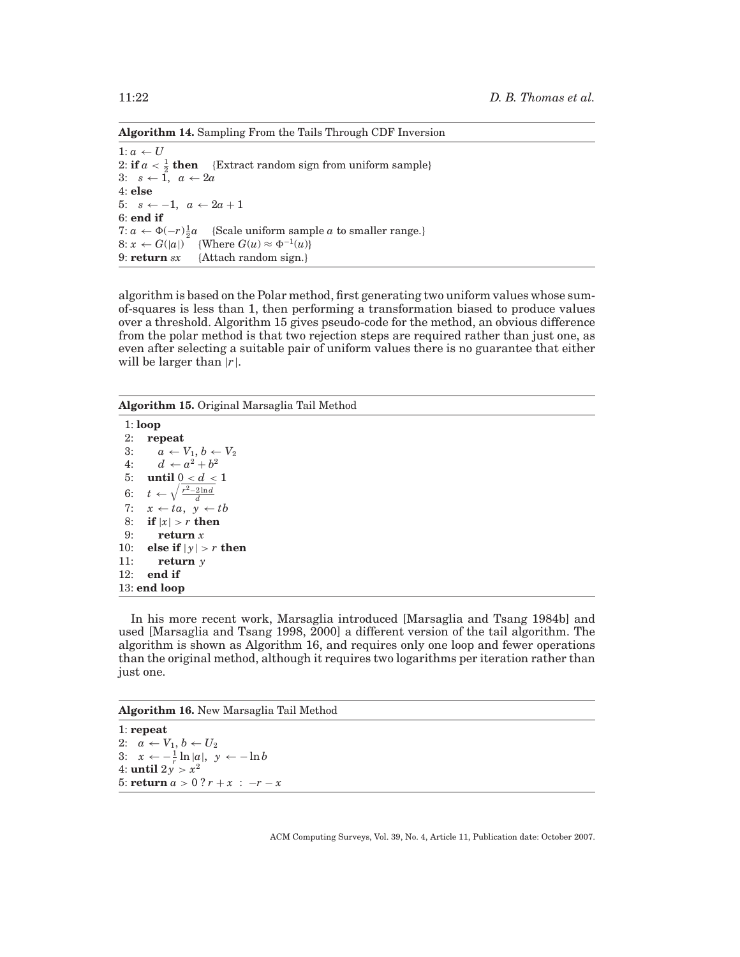**Algorithm 14.** Sampling From the Tails Through CDF Inversion

 $1: a \leftarrow U$ 2: **if**  $a < \frac{1}{2}$  **then** {Extract random sign from uniform sample} 3:  $s \leftarrow 1, a \leftarrow 2a$ 4: **else** 5:  $s \leftarrow -1$ ,  $a \leftarrow 2a + 1$ 6: **end if** 7: *a* ←  $\Phi(-r)\frac{1}{2}a$  {Scale uniform sample *a* to smaller range.}  $8: x \leftarrow G(|a|)$  {Where  $G(u) \approx \Phi^{-1}(u)$ } 9: **return** *sx* {Attach random sign.}

algorithm is based on the Polar method, first generating two uniform values whose sumof-squares is less than 1, then performing a transformation biased to produce values over a threshold. Algorithm 15 gives pseudo-code for the method, an obvious difference from the polar method is that two rejection steps are required rather than just one, as even after selecting a suitable pair of uniform values there is no guarantee that either will be larger than |*r*|.

**Algorithm 15.** Original Marsaglia Tail Method

1: **loop** 2: **repeat** 3:  $a \leftarrow V_1, b \leftarrow V_2$ 4:  $d \leftarrow a^2 + b^2$ 5: **until** 0 < *d* < 1 6:  $t \leftarrow \sqrt{\frac{r^2-2\ln d}{d}}$ 7:  $x \leftarrow ta, y \leftarrow tb$ 8: **if**  $|x| > r$  **then** 9: **return** *x* 10: **else if**  $|y| > r$  **then** 11: **return** *y* 12: **end if** 13: **end loop**

In his more recent work, Marsaglia introduced [Marsaglia and Tsang 1984b] and used [Marsaglia and Tsang 1998, 2000] a different version of the tail algorithm. The algorithm is shown as Algorithm 16, and requires only one loop and fewer operations than the original method, although it requires two logarithms per iteration rather than just one.

**Algorithm 16.** New Marsaglia Tail Method

1: **repeat** 2:  $a \leftarrow V_1, b \leftarrow U_2$ 3:  $x \leftarrow -\frac{1}{r} \ln |a|, y \leftarrow -\ln b$ 4: **until**  $2y > x^2$ 5: **return**  $a > 0$  ?  $r + x$  :  $-r - x$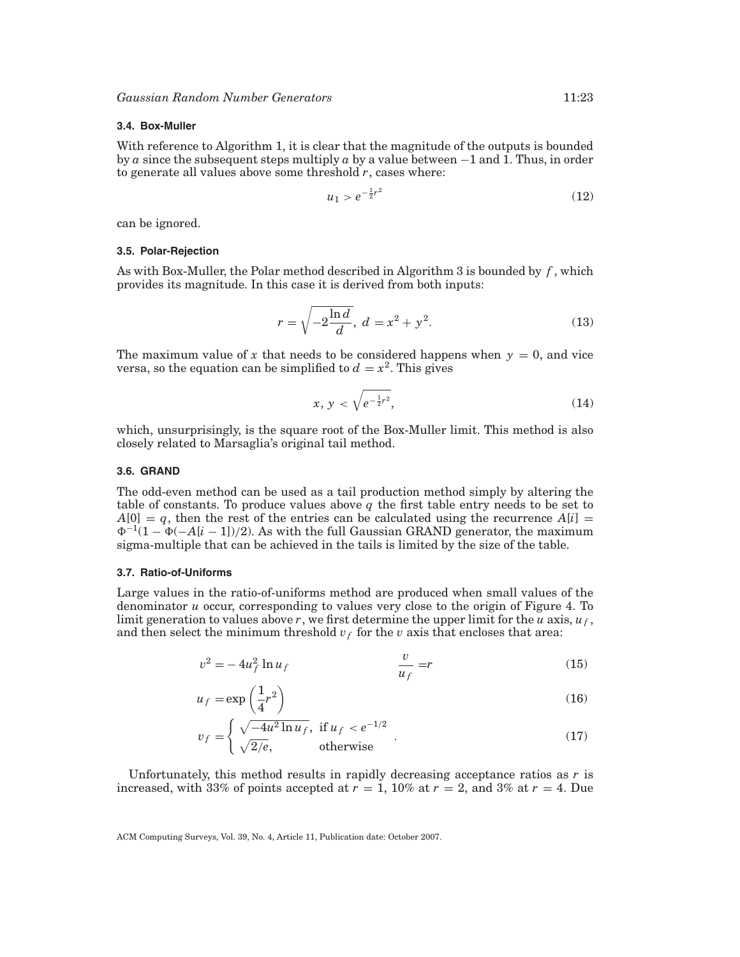# **3.4. Box-Muller**

With reference to Algorithm 1, it is clear that the magnitude of the outputs is bounded by *a* since the subsequent steps multiply *a* by a value between −1 and 1. Thus, in order to generate all values above some threshold *r*, cases where:

$$
u_1 > e^{-\frac{1}{2}r^2} \tag{12}
$$

can be ignored.

#### **3.5. Polar-Rejection**

As with Box-Muller, the Polar method described in Algorithm 3 is bounded by *f* , which provides its magnitude. In this case it is derived from both inputs:

$$
r = \sqrt{-2\frac{\ln d}{d}}, \ d = x^2 + y^2. \tag{13}
$$

The maximum value of x that needs to be considered happens when  $y = 0$ , and vice versa, so the equation can be simplified to  $d = x^2$ . This gives

$$
x, y < \sqrt{e^{-\frac{1}{2}r^2}}, \tag{14}
$$

which, unsurprisingly, is the square root of the Box-Muller limit. This method is also closely related to Marsaglia's original tail method.

# **3.6. GRAND**

The odd-even method can be used as a tail production method simply by altering the table of constants. To produce values above  $q$  the first table entry needs to be set to  $A[0] = q$ , then the rest of the entries can be calculated using the recurrence  $A[i] =$  $\Phi^{-1}(1 - \Phi(-A[i-1])/2)$ . As with the full Gaussian GRAND generator, the maximum sigma-multiple that can be achieved in the tails is limited by the size of the table.

# **3.7. Ratio-of-Uniforms**

Large values in the ratio-of-uniforms method are produced when small values of the denominator *u* occur, corresponding to values very close to the origin of Figure 4. To limit generation to values above  $r$ , we first determine the upper limit for the  $u$  axis,  $u_f$ , and then select the minimum threshold  $v_f$  for the *v* axis that encloses that area:

$$
v^2 = -4u_f^2 \ln u_f \qquad \frac{v}{u_f} = r \tag{15}
$$

$$
u_f = \exp\left(\frac{1}{4}r^2\right) \tag{16}
$$

$$
v_f = \begin{cases} \sqrt{-4u^2 \ln u_f}, & \text{if } u_f < e^{-1/2} \\ \sqrt{2/e}, & \text{otherwise} \end{cases} . \tag{17}
$$

Unfortunately, this method results in rapidly decreasing acceptance ratios as *r* is increased, with 33% of points accepted at  $r = 1$ , 10% at  $r = 2$ , and 3% at  $r = 4$ . Due

ACM Computing Surveys, Vol. 39, No. 4, Article 11, Publication date: October 2007.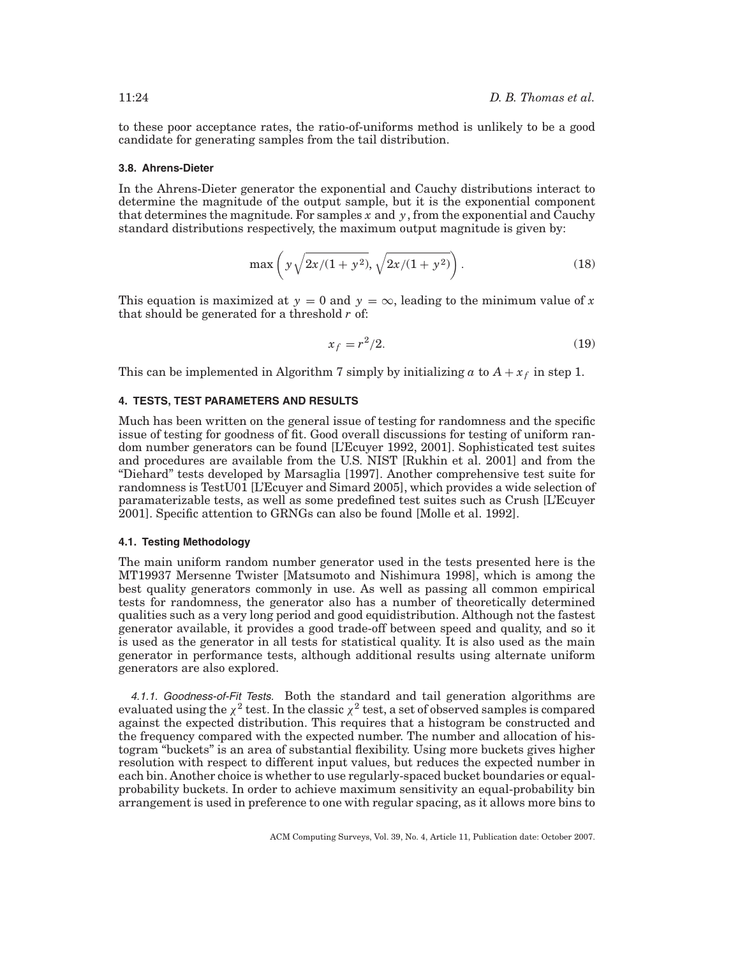to these poor acceptance rates, the ratio-of-uniforms method is unlikely to be a good candidate for generating samples from the tail distribution.

### **3.8. Ahrens-Dieter**

In the Ahrens-Dieter generator the exponential and Cauchy distributions interact to determine the magnitude of the output sample, but it is the exponential component that determines the magnitude. For samples  $x$  and  $y$ , from the exponential and Cauchy standard distributions respectively, the maximum output magnitude is given by:

$$
\max\left(y\sqrt{2x/(1+y^2)},\sqrt{2x/(1+y^2)}\right).
$$
 (18)

This equation is maximized at  $y = 0$  and  $y = \infty$ , leading to the minimum value of x that should be generated for a threshold *r* of:

$$
x_f = r^2/2. \tag{19}
$$

This can be implemented in Algorithm 7 simply by initializing  $\alpha$  to  $A + x_f$  in step 1.

# **4. TESTS, TEST PARAMETERS AND RESULTS**

Much has been written on the general issue of testing for randomness and the specific issue of testing for goodness of fit. Good overall discussions for testing of uniform random number generators can be found [L'Ecuyer 1992, 2001]. Sophisticated test suites and procedures are available from the U.S. NIST [Rukhin et al. 2001] and from the "Diehard" tests developed by Marsaglia [1997]. Another comprehensive test suite for randomness is TestU01 [L'Ecuyer and Simard 2005], which provides a wide selection of paramaterizable tests, as well as some predefined test suites such as Crush [L'Ecuyer 2001]. Specific attention to GRNGs can also be found [Molle et al. 1992].

#### **4.1. Testing Methodology**

The main uniform random number generator used in the tests presented here is the MT19937 Mersenne Twister [Matsumoto and Nishimura 1998], which is among the best quality generators commonly in use. As well as passing all common empirical tests for randomness, the generator also has a number of theoretically determined qualities such as a very long period and good equidistribution. Although not the fastest generator available, it provides a good trade-off between speed and quality, and so it is used as the generator in all tests for statistical quality. It is also used as the main generator in performance tests, although additional results using alternate uniform generators are also explored.

*4.1.1. Goodness-of-Fit Tests.* Both the standard and tail generation algorithms are evaluated using the  $\chi^2$  test. In the classic  $\chi^2$  test, a set of observed samples is compared against the expected distribution. This requires that a histogram be constructed and the frequency compared with the expected number. The number and allocation of histogram "buckets" is an area of substantial flexibility. Using more buckets gives higher resolution with respect to different input values, but reduces the expected number in each bin. Another choice is whether to use regularly-spaced bucket boundaries or equalprobability buckets. In order to achieve maximum sensitivity an equal-probability bin arrangement is used in preference to one with regular spacing, as it allows more bins to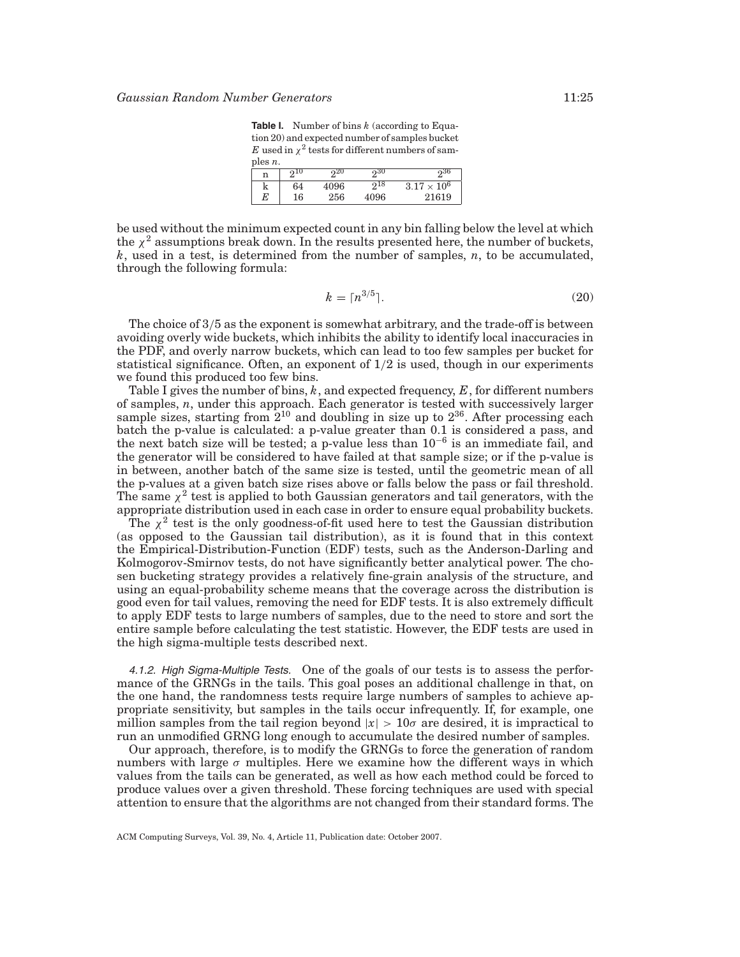**Table I.** Number of bins *k* (according to Equation 20) and expected number of samples bucket *E* used in  $\chi^2$  tests for different numbers of sam-

| ples $n$ . |     |      |              |                      |
|------------|-----|------|--------------|----------------------|
| n          | 010 | 20   | $20^{\circ}$ | 936                  |
| k          | 64  | 4096 | 218          | $3.17 \times 10^{6}$ |
| E          | 16  | 256  | 4096         | 21619                |

be used without the minimum expected count in any bin falling below the level at which the  $\chi^2$  assumptions break down. In the results presented here, the number of buckets, *k*, used in a test, is determined from the number of samples, *n*, to be accumulated, through the following formula:

$$
k = \lceil n^{3/5} \rceil. \tag{20}
$$

The choice of  $3/5$  as the exponent is somewhat arbitrary, and the trade-off is between avoiding overly wide buckets, which inhibits the ability to identify local inaccuracies in the PDF, and overly narrow buckets, which can lead to too few samples per bucket for statistical significance. Often, an exponent of  $1/2$  is used, though in our experiments we found this produced too few bins.

Table I gives the number of bins, *k*, and expected frequency, *E*, for different numbers of samples, *n*, under this approach. Each generator is tested with successively larger sample sizes, starting from  $2^{10}$  and doubling in size up to  $2^{36}$ . After processing each batch the p-value is calculated: a p-value greater than 0.1 is considered a pass, and the next batch size will be tested; a p-value less than  $10^{-6}$  is an immediate fail, and the generator will be considered to have failed at that sample size; or if the p-value is in between, another batch of the same size is tested, until the geometric mean of all the p-values at a given batch size rises above or falls below the pass or fail threshold. The same  $\chi^2$  test is applied to both Gaussian generators and tail generators, with the appropriate distribution used in each case in order to ensure equal probability buckets.

The  $\chi^2$  test is the only goodness-of-fit used here to test the Gaussian distribution (as opposed to the Gaussian tail distribution), as it is found that in this context the Empirical-Distribution-Function (EDF) tests, such as the Anderson-Darling and Kolmogorov-Smirnov tests, do not have significantly better analytical power. The chosen bucketing strategy provides a relatively fine-grain analysis of the structure, and using an equal-probability scheme means that the coverage across the distribution is good even for tail values, removing the need for EDF tests. It is also extremely difficult to apply EDF tests to large numbers of samples, due to the need to store and sort the entire sample before calculating the test statistic. However, the EDF tests are used in the high sigma-multiple tests described next.

*4.1.2. High Sigma-Multiple Tests.* One of the goals of our tests is to assess the performance of the GRNGs in the tails. This goal poses an additional challenge in that, on the one hand, the randomness tests require large numbers of samples to achieve appropriate sensitivity, but samples in the tails occur infrequently. If, for example, one million samples from the tail region beyond  $|x| > 10\sigma$  are desired, it is impractical to run an unmodified GRNG long enough to accumulate the desired number of samples.

Our approach, therefore, is to modify the GRNGs to force the generation of random numbers with large  $\sigma$  multiples. Here we examine how the different ways in which values from the tails can be generated, as well as how each method could be forced to produce values over a given threshold. These forcing techniques are used with special attention to ensure that the algorithms are not changed from their standard forms. The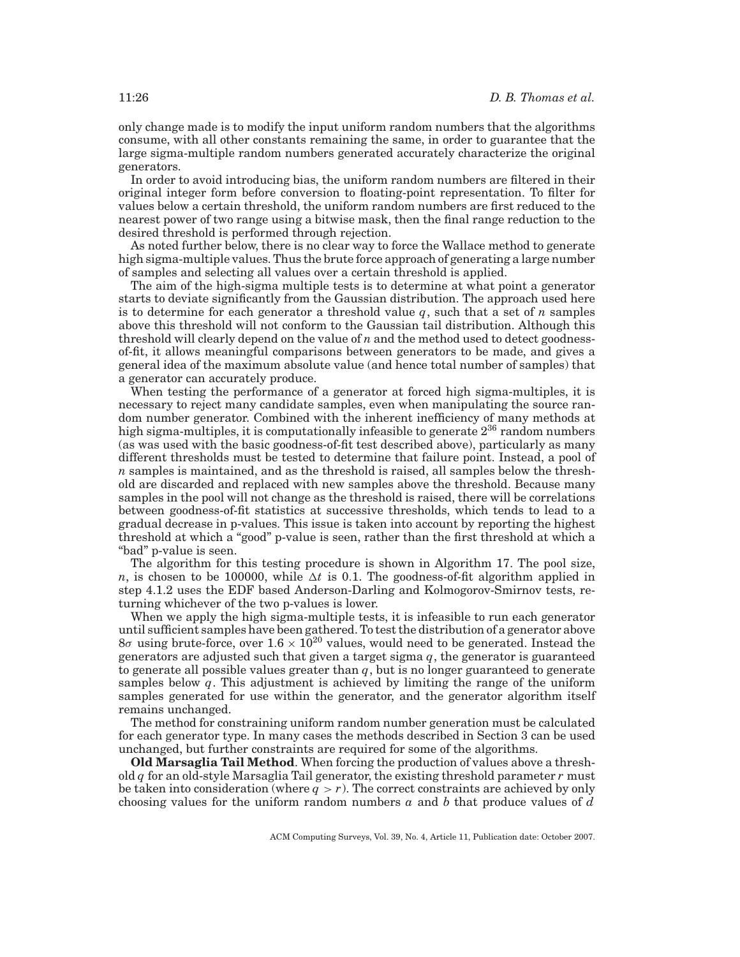only change made is to modify the input uniform random numbers that the algorithms consume, with all other constants remaining the same, in order to guarantee that the large sigma-multiple random numbers generated accurately characterize the original generators.

In order to avoid introducing bias, the uniform random numbers are filtered in their original integer form before conversion to floating-point representation. To filter for values below a certain threshold, the uniform random numbers are first reduced to the nearest power of two range using a bitwise mask, then the final range reduction to the desired threshold is performed through rejection.

As noted further below, there is no clear way to force the Wallace method to generate high sigma-multiple values. Thus the brute force approach of generating a large number of samples and selecting all values over a certain threshold is applied.

The aim of the high-sigma multiple tests is to determine at what point a generator starts to deviate significantly from the Gaussian distribution. The approach used here is to determine for each generator a threshold value *q*, such that a set of *n* samples above this threshold will not conform to the Gaussian tail distribution. Although this threshold will clearly depend on the value of *n* and the method used to detect goodnessof-fit, it allows meaningful comparisons between generators to be made, and gives a general idea of the maximum absolute value (and hence total number of samples) that a generator can accurately produce.

When testing the performance of a generator at forced high sigma-multiples, it is necessary to reject many candidate samples, even when manipulating the source random number generator. Combined with the inherent inefficiency of many methods at high sigma-multiples, it is computationally infeasible to generate  $2^{36}$  random numbers (as was used with the basic goodness-of-fit test described above), particularly as many different thresholds must be tested to determine that failure point. Instead, a pool of *n* samples is maintained, and as the threshold is raised, all samples below the threshold are discarded and replaced with new samples above the threshold. Because many samples in the pool will not change as the threshold is raised, there will be correlations between goodness-of-fit statistics at successive thresholds, which tends to lead to a gradual decrease in p-values. This issue is taken into account by reporting the highest threshold at which a "good" p-value is seen, rather than the first threshold at which a "bad" p-value is seen.

The algorithm for this testing procedure is shown in Algorithm 17. The pool size, *n*, is chosen to be 100000, while  $\Delta t$  is 0.1. The goodness-of-fit algorithm applied in step 4.1.2 uses the EDF based Anderson-Darling and Kolmogorov-Smirnov tests, returning whichever of the two p-values is lower.

When we apply the high sigma-multiple tests, it is infeasible to run each generator until sufficient samples have been gathered. To test the distribution of a generator above 8 $\sigma$  using brute-force, over  $1.6 \times 10^{20}$  values, would need to be generated. Instead the generators are adjusted such that given a target sigma  $q$ , the generator is guaranteed to generate all possible values greater than  $q$ , but is no longer guaranteed to generate samples below  $q$ . This adjustment is achieved by limiting the range of the uniform samples generated for use within the generator, and the generator algorithm itself remains unchanged.

The method for constraining uniform random number generation must be calculated for each generator type. In many cases the methods described in Section 3 can be used unchanged, but further constraints are required for some of the algorithms.

**Old Marsaglia Tail Method**. When forcing the production of values above a threshold *q* for an old-style Marsaglia Tail generator, the existing threshold parameter *r* must be taken into consideration (where  $q > r$ ). The correct constraints are achieved by only choosing values for the uniform random numbers *a* and *b* that produce values of *d*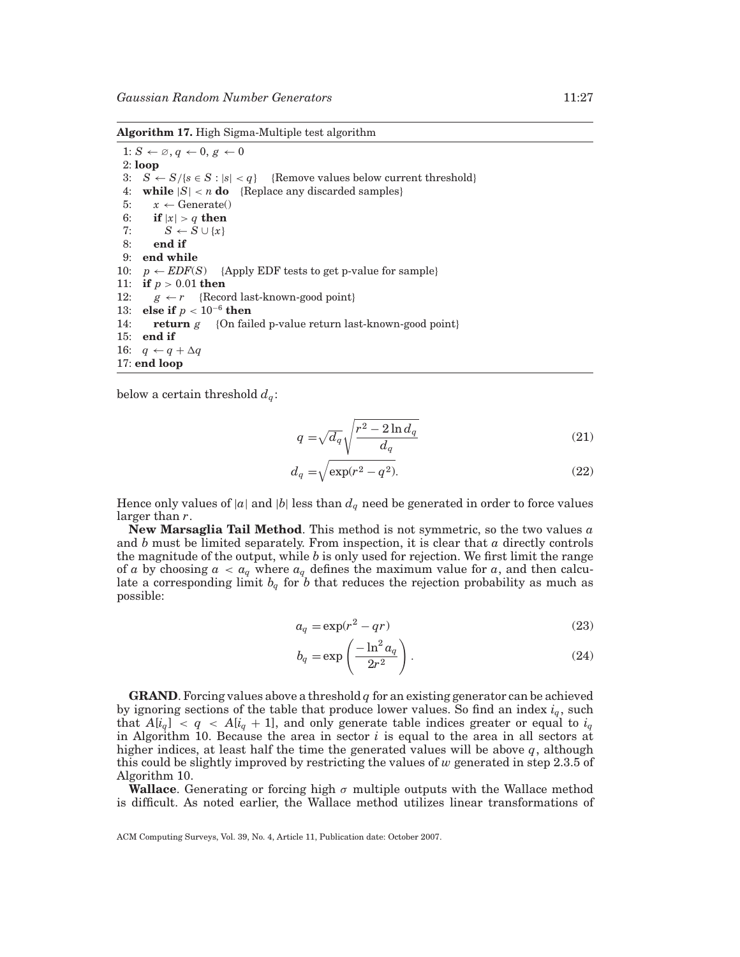**Algorithm 17.** High Sigma-Multiple test algorithm

 $1: S \leftarrow \emptyset, q \leftarrow 0, g \leftarrow 0$ 2: **loop** 3:  $S \leftarrow S / \{s \in S : |s| < q\}$  {Remove values below current threshold} 4: **while**  $|S| < n$  **do** {Replace any discarded samples} 5:  $x \leftarrow$  Generate() 6: **if**  $|x| > q$  **then** 7:  $S \leftarrow S \cup \{x\}$ 8: **end if** 9: **end while** 10:  $p \leftarrow EDF(S)$  {Apply EDF tests to get p-value for sample} 11: **if** *p* > 0.01 **then** 12:  $g \leftarrow r$  {Record last-known-good point} 13: **else if** *p* < 10<sup>−</sup><sup>6</sup> **then** 14: **return** *g* {On failed p-value return last-known-good point} 15: **end if** 16:  $q \leftarrow q + \Delta q$ 17: **end loop**

below a certain threshold  $d_q$ :

$$
q = \sqrt{d_q} \sqrt{\frac{r^2 - 2\ln d_q}{d_q}}\tag{21}
$$

$$
d_q = \sqrt{\exp(r^2 - q^2)}.
$$
\n(22)

Hence only values of  $|a|$  and  $|b|$  less than  $d_q$  need be generated in order to force values larger than *r*.

**New Marsaglia Tail Method**. This method is not symmetric, so the two values *a* and *b* must be limited separately. From inspection, it is clear that *a* directly controls the magnitude of the output, while *b* is only used for rejection. We first limit the range of *a* by choosing  $a < a_q$  where  $a_q$  defines the maximum value for *a*, and then calculate a corresponding limit  $b_q$  for  $b$  that reduces the rejection probability as much as possible:

$$
a_q = \exp(r^2 - qr) \tag{23}
$$

$$
b_q = \exp\left(\frac{-\ln^2 a_q}{2r^2}\right). \tag{24}
$$

**GRAND**. Forcing values above a threshold  $q$  for an existing generator can be achieved by ignoring sections of the table that produce lower values. So find an index  $i_q$ , such that  $A[i_q] < q < A[i_q + 1]$ , and only generate table indices greater or equal to  $i_q$ in Algorithm 10. Because the area in sector *i* is equal to the area in all sectors at higher indices, at least half the time the generated values will be above *q*, although this could be slightly improved by restricting the values of *w* generated in step 2.3.5 of Algorithm 10.

**Wallace**. Generating or forcing high  $\sigma$  multiple outputs with the Wallace method is difficult. As noted earlier, the Wallace method utilizes linear transformations of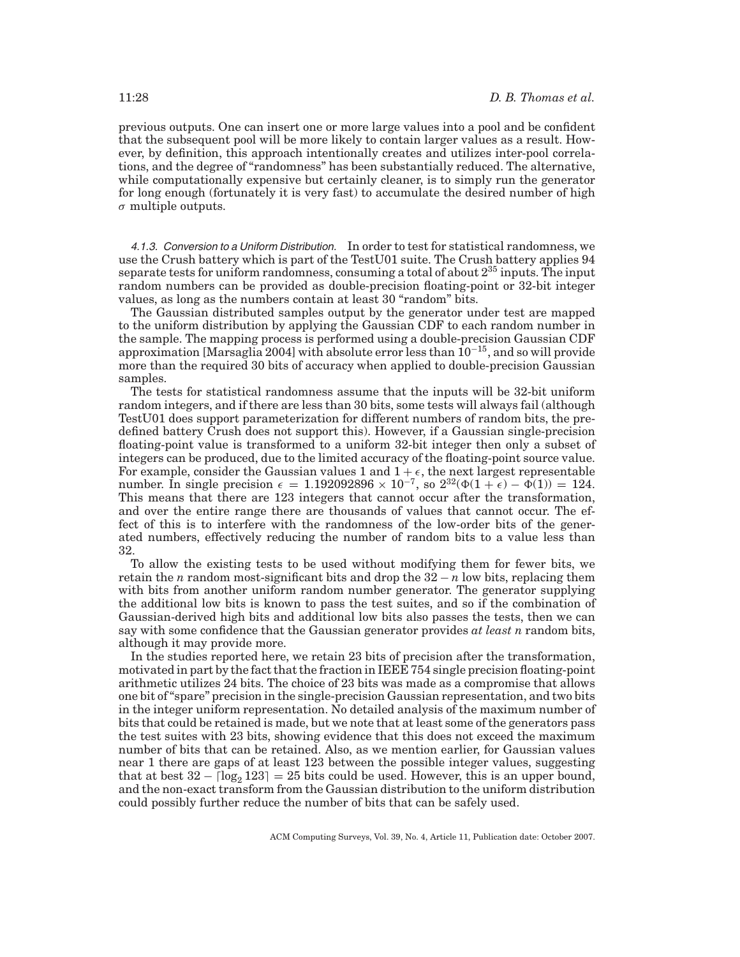previous outputs. One can insert one or more large values into a pool and be confident that the subsequent pool will be more likely to contain larger values as a result. However, by definition, this approach intentionally creates and utilizes inter-pool correlations, and the degree of "randomness" has been substantially reduced. The alternative, while computationally expensive but certainly cleaner, is to simply run the generator for long enough (fortunately it is very fast) to accumulate the desired number of high  $\sigma$  multiple outputs.

*4.1.3. Conversion to a Uniform Distribution.* In order to test for statistical randomness, we use the Crush battery which is part of the TestU01 suite. The Crush battery applies 94 separate tests for uniform randomness, consuming a total of about  $2^{35}$  inputs. The input random numbers can be provided as double-precision floating-point or 32-bit integer values, as long as the numbers contain at least 30 "random" bits.

The Gaussian distributed samples output by the generator under test are mapped to the uniform distribution by applying the Gaussian CDF to each random number in the sample. The mapping process is performed using a double-precision Gaussian CDF approximation [Marsaglia 2004] with absolute error less than 10<sup>−</sup>15, and so will provide more than the required 30 bits of accuracy when applied to double-precision Gaussian samples.

The tests for statistical randomness assume that the inputs will be 32-bit uniform random integers, and if there are less than 30 bits, some tests will always fail (although TestU01 does support parameterization for different numbers of random bits, the predefined battery Crush does not support this). However, if a Gaussian single-precision floating-point value is transformed to a uniform 32-bit integer then only a subset of integers can be produced, due to the limited accuracy of the floating-point source value. For example, consider the Gaussian values 1 and  $1 + \epsilon$ , the next largest representable number. In single precision  $\epsilon = 1.192092896 \times 10^{-7}$ , so  $2^{32}(\Phi(1 + \epsilon) - \Phi(1)) = 124$ . This means that there are 123 integers that cannot occur after the transformation, and over the entire range there are thousands of values that cannot occur. The effect of this is to interfere with the randomness of the low-order bits of the generated numbers, effectively reducing the number of random bits to a value less than 32.

To allow the existing tests to be used without modifying them for fewer bits, we retain the *n* random most-significant bits and drop the  $32 - n$  low bits, replacing them with bits from another uniform random number generator. The generator supplying the additional low bits is known to pass the test suites, and so if the combination of Gaussian-derived high bits and additional low bits also passes the tests, then we can say with some confidence that the Gaussian generator provides *at least n* random bits, although it may provide more.

In the studies reported here, we retain 23 bits of precision after the transformation, motivated in part by the fact that the fraction in IEEE 754 single precision floating-point arithmetic utilizes 24 bits. The choice of 23 bits was made as a compromise that allows one bit of "spare" precision in the single-precision Gaussian representation, and two bits in the integer uniform representation. No detailed analysis of the maximum number of bits that could be retained is made, but we note that at least some of the generators pass the test suites with 23 bits, showing evidence that this does not exceed the maximum number of bits that can be retained. Also, as we mention earlier, for Gaussian values near 1 there are gaps of at least 123 between the possible integer values, suggesting that at best  $32 - \lfloor \log_2 123 \rfloor = 25$  bits could be used. However, this is an upper bound, and the non-exact transform from the Gaussian distribution to the uniform distribution could possibly further reduce the number of bits that can be safely used.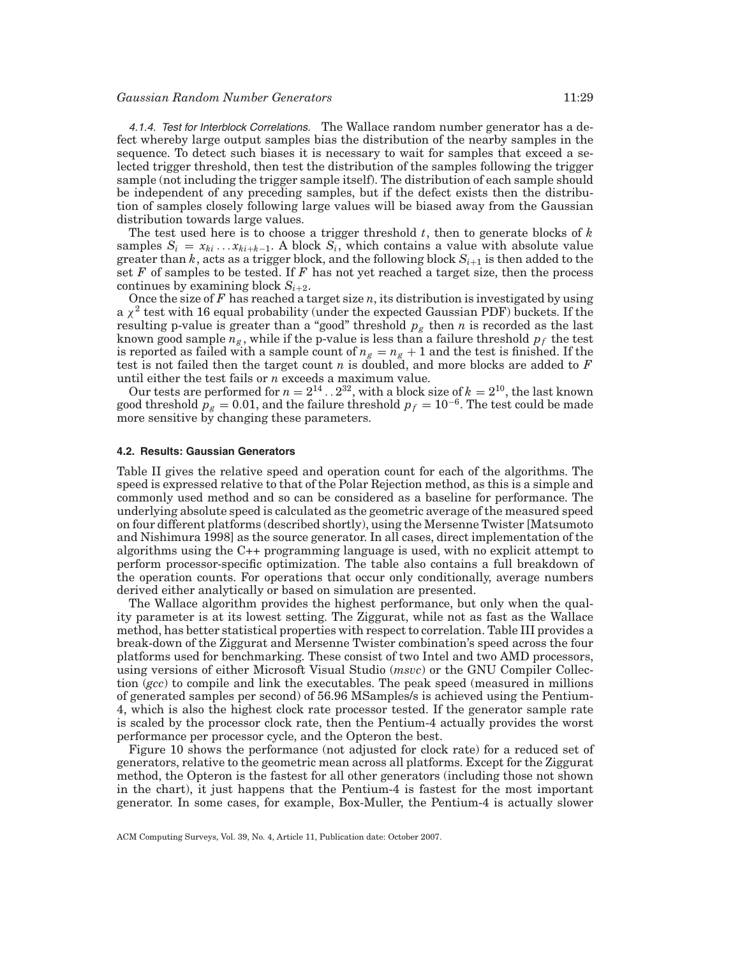#### *Gaussian Random Number Generators* 11:29

*4.1.4. Test for Interblock Correlations.* The Wallace random number generator has a defect whereby large output samples bias the distribution of the nearby samples in the sequence. To detect such biases it is necessary to wait for samples that exceed a selected trigger threshold, then test the distribution of the samples following the trigger sample (not including the trigger sample itself). The distribution of each sample should be independent of any preceding samples, but if the defect exists then the distribution of samples closely following large values will be biased away from the Gaussian distribution towards large values.

The test used here is to choose a trigger threshold *t*, then to generate blocks of *k* samples  $S_i = x_{ki} \dots x_{ki+k-1}$ . A block  $S_i$ , which contains a value with absolute value greater than  $k$ , acts as a trigger block, and the following block  $S_{i+1}$  is then added to the set *F* of samples to be tested. If *F* has not yet reached a target size, then the process continues by examining block  $S_{i+2}$ .

Once the size of *F* has reached a target size *n*, its distribution is investigated by using a  $\chi^2$  test with 16 equal probability (under the expected Gaussian PDF) buckets. If the resulting p-value is greater than a "good" threshold *pg* then *n* is recorded as the last known good sample  $n_g$  , while if the p-value is less than a failure threshold  $p_f$  the test is reported as failed with a sample count of  $n_g = n_g + 1$  and the test is finished. If the test is not failed then the target count *n* is doubled, and more blocks are added to *F* until either the test fails or *n* exceeds a maximum value.

Our tests are performed for  $n = 2^{14} \dots 2^{32}$ , with a block size of  $k = 2^{10}$ , the last known good threshold  $p_g = 0.01$ , and the failure threshold  $p_f = 10^{-6}$ . The test could be made more sensitive by changing these parameters.

# **4.2. Results: Gaussian Generators**

Table II gives the relative speed and operation count for each of the algorithms. The speed is expressed relative to that of the Polar Rejection method, as this is a simple and commonly used method and so can be considered as a baseline for performance. The underlying absolute speed is calculated as the geometric average of the measured speed on four different platforms (described shortly), using the Mersenne Twister [Matsumoto and Nishimura 1998] as the source generator. In all cases, direct implementation of the algorithms using the C++ programming language is used, with no explicit attempt to perform processor-specific optimization. The table also contains a full breakdown of the operation counts. For operations that occur only conditionally, average numbers derived either analytically or based on simulation are presented.

The Wallace algorithm provides the highest performance, but only when the quality parameter is at its lowest setting. The Ziggurat, while not as fast as the Wallace method, has better statistical properties with respect to correlation. Table III provides a break-down of the Ziggurat and Mersenne Twister combination's speed across the four platforms used for benchmarking. These consist of two Intel and two AMD processors, using versions of either Microsoft Visual Studio (*msvc*) or the GNU Compiler Collection (*gcc*) to compile and link the executables. The peak speed (measured in millions of generated samples per second) of 56.96 MSamples/s is achieved using the Pentium-4, which is also the highest clock rate processor tested. If the generator sample rate is scaled by the processor clock rate, then the Pentium-4 actually provides the worst performance per processor cycle, and the Opteron the best.

Figure 10 shows the performance (not adjusted for clock rate) for a reduced set of generators, relative to the geometric mean across all platforms. Except for the Ziggurat method, the Opteron is the fastest for all other generators (including those not shown in the chart), it just happens that the Pentium-4 is fastest for the most important generator. In some cases, for example, Box-Muller, the Pentium-4 is actually slower

ACM Computing Surveys, Vol. 39, No. 4, Article 11, Publication date: October 2007.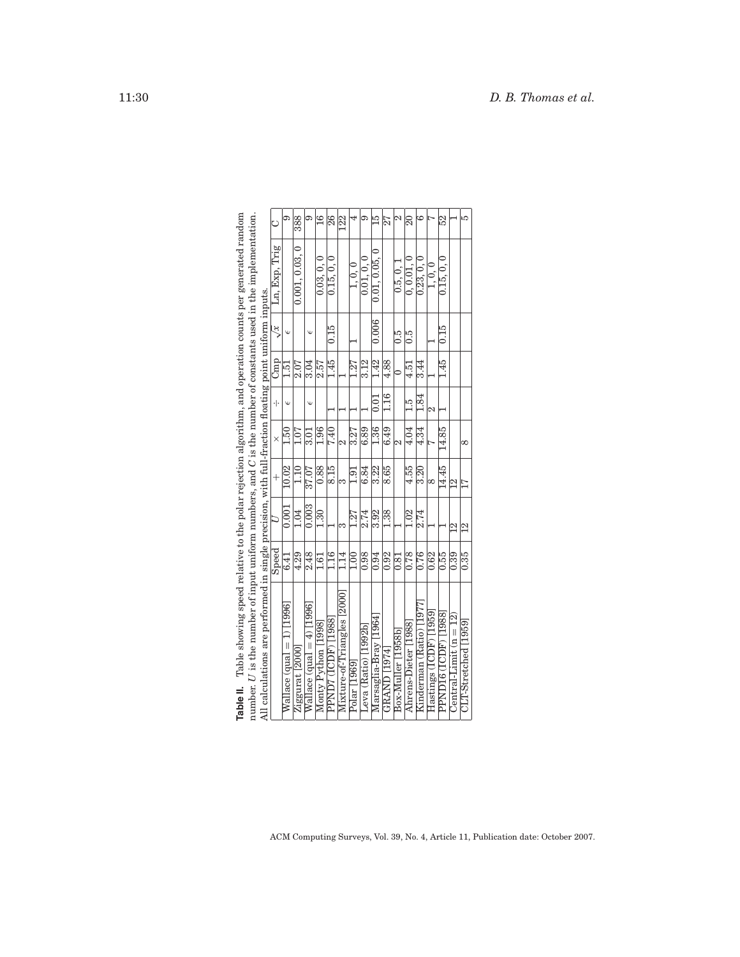| rapie in Table strowing speed relative to the porar rejection algoritm, and operation counts per generated random  |         |               |                  |                    |                   |                   |               |                |                 |
|--------------------------------------------------------------------------------------------------------------------|---------|---------------|------------------|--------------------|-------------------|-------------------|---------------|----------------|-----------------|
| number. $U$ is the number of input uniform numbers, and $C$ is the number of constants used in the implementation. |         |               |                  |                    |                   |                   |               |                |                 |
| All calculations are performed in single precision, with full-fraction floating point uniform inputs.              |         |               |                  |                    |                   |                   |               |                |                 |
|                                                                                                                    | Speed   |               |                  | $\times$           | $\cdot$   $\cdot$ | Ump               | $\frac{x}{x}$ | Ln, Exp, Trig  | Ò               |
| $Wallace (qual = 1) [1996]$                                                                                        | 6.41    | 0.001         | 10.02            | ë                  | ú.                | 5                 |               |                | σ.              |
| Ziggurat [2000]                                                                                                    | 4.29    | 1.04          | 1.10             | 1.07               |                   | 2.07              |               | 0.001, 0.03, 0 | 388             |
| Wallace (qual $= 4$ ) [1996]                                                                                       | 2.48    | 0.003         | 37.07            | $\rm ^3.01$        | É                 | 3.04              | w             |                | ာ               |
| Monty Python [1998]                                                                                                | 1.61    | 1.30          | 0.88             | 1.96               |                   | 2.57              |               | 0.03, 0, 0     | $\frac{6}{1}$   |
| PPND7 (ICDF) [1988]                                                                                                | 1.16    |               | $\frac{8.15}{8}$ | 7.40               |                   | 1.45              | 0.15          | 0.15, 0, 0     | $\frac{8}{2}$   |
| Mixture-of-Triangles [2000]                                                                                        | 1.14    | ᡤ             | ິ                | 2                  |                   |                   |               |                | 122             |
| Polar [1969]                                                                                                       | $_{00}$ | L27           | 1.91             | 3.27               |                   | $\overline{1.27}$ |               | 1, 0, 0        | 4               |
| Leva (Ratio) [1992b]                                                                                               | 0.98    | 2.74          | 6.84             | 6.89               |                   | 3.12              |               | 0.01, 0, 0     | ာ               |
| Marsaglia-Bray   1964                                                                                              | 0.94    | 3.92          | 3.22             | 1.36               | 0.01              | 1.42              | 0.006         | 0.01, 0.05, 0  | $\bar{5}$       |
| GRAND [1974]                                                                                                       | 0.92    | 1.38          | 8.65             | 6.49               | $\frac{16}{1}$    | 4.88              |               |                | 21              |
| Box-Muller [1958b]                                                                                                 | 0.81    |               |                  | $\mathbf{\hat{z}}$ |                   |                   | C.O           | 0.5, 0, 1      | 2               |
| Ahrens-Dieter [1988]                                                                                               | 0.78    | 1.02          | 4.55             | 4.04               | 1.5               | 4.51              | G.G           | 0,0.01,0       | $\overline{20}$ |
| Kinderman (Ratio) [1977                                                                                            | 0.76    | 2.74          | 3.20             | 4.34               | 1.84              | 3.44              |               | 0.23, 0, 0     | G               |
| Hastings (ICDF) [1959]                                                                                             | 0.62    |               | œ                |                    |                   |                   |               | 1,0,0          |                 |
| PPND16 (ICDF) [1988]                                                                                               | 0.55    |               | 14.45            | 14.85              |                   | 1.45              | 0.15          | 0.15, 0.       | 52              |
| Central-Limit $(n = 12)$                                                                                           | 0.39    | $\frac{2}{3}$ | $\frac{2}{1}$    |                    |                   |                   |               |                |                 |
| CLT-Stretched [1959]                                                                                               | 0.35    | $^{22}$       | 17               | œ                  |                   |                   |               |                | LО              |

| mithm and one and non coun<br>.<br>o the polar rejection a<br>noon rolativa to t<br>a h l a<br>Ē                                                    | くべつ |
|-----------------------------------------------------------------------------------------------------------------------------------------------------|-----|
| umbers, and $C$ is the number of constan<br>$\frac{1}{4}$<br>number. <i>U</i> is the number o                                                       | i   |
| . שנע<br>$+0$ mm $+0$<br>recision with full-fraction floating noint unit<br>e performed in single precis.<br>C C C C C C C C C C C C<br>all colorle |     |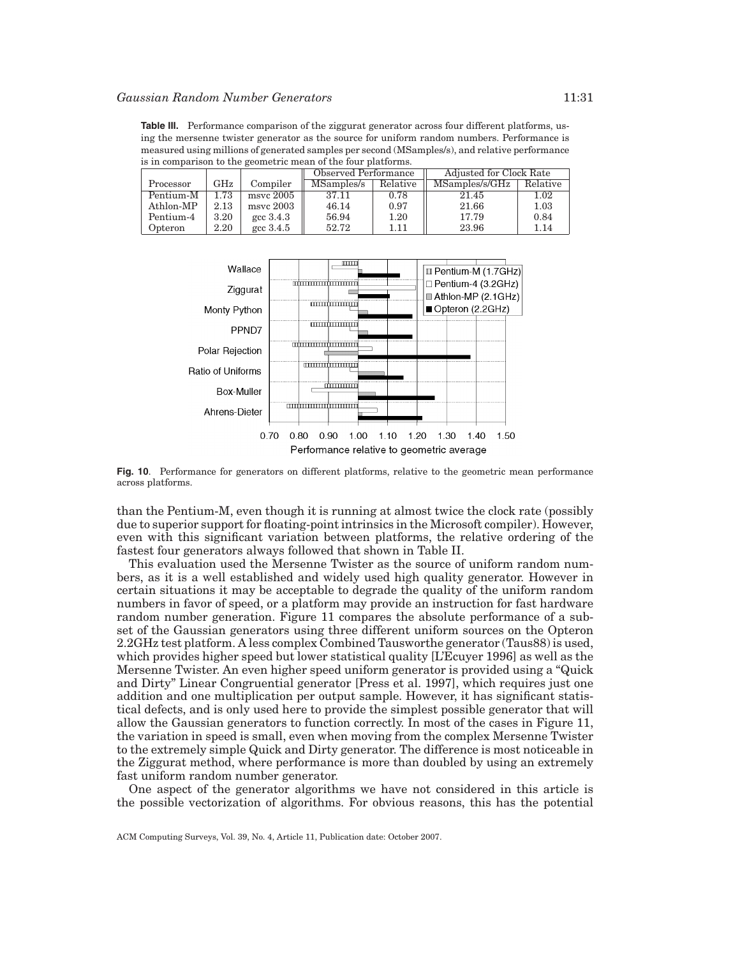**Table III.** Performance comparison of the ziggurat generator across four different platforms, using the mersenne twister generator as the source for uniform random numbers. Performance is measured using millions of generated samples per second (MSamples/s), and relative performance is in comparison to the geometric mean of the four platforms.

|           |      |              | Observed Performance |          | Adjusted for Clock Rate |          |
|-----------|------|--------------|----------------------|----------|-------------------------|----------|
| Processor | GHz  | Compiler     | MSamples/s           | Relative | MSamples/s/GHz          | Relative |
| Pentium-M | 1.73 | msvc 2005    | 37.11                | 0.78     | 21.45                   | 1.02     |
| Athlon-MP | 2.13 | msyc 2003    | 46.14                | 0.97     | 21.66                   | $1.03\,$ |
| Pentium-4 | 3.20 | $\gcd 3.4.3$ | 56.94                | 1.20     | 17.79                   | 0.84     |
| Opteron   | 2.20 | $\gcd 3.4.5$ | 52.72                | 1.11     | 23.96                   | 1.14     |



**Fig. 10**. Performance for generators on different platforms, relative to the geometric mean performance across platforms.

than the Pentium-M, even though it is running at almost twice the clock rate (possibly due to superior support for floating-point intrinsics in the Microsoft compiler). However, even with this significant variation between platforms, the relative ordering of the fastest four generators always followed that shown in Table II.

This evaluation used the Mersenne Twister as the source of uniform random numbers, as it is a well established and widely used high quality generator. However in certain situations it may be acceptable to degrade the quality of the uniform random numbers in favor of speed, or a platform may provide an instruction for fast hardware random number generation. Figure 11 compares the absolute performance of a subset of the Gaussian generators using three different uniform sources on the Opteron 2.2GHz test platform. A less complex Combined Tausworthe generator (Taus88) is used, which provides higher speed but lower statistical quality [L'Ecuyer 1996] as well as the Mersenne Twister. An even higher speed uniform generator is provided using a "Quick and Dirty" Linear Congruential generator [Press et al. 1997], which requires just one addition and one multiplication per output sample. However, it has significant statistical defects, and is only used here to provide the simplest possible generator that will allow the Gaussian generators to function correctly. In most of the cases in Figure 11, the variation in speed is small, even when moving from the complex Mersenne Twister to the extremely simple Quick and Dirty generator. The difference is most noticeable in the Ziggurat method, where performance is more than doubled by using an extremely fast uniform random number generator.

One aspect of the generator algorithms we have not considered in this article is the possible vectorization of algorithms. For obvious reasons, this has the potential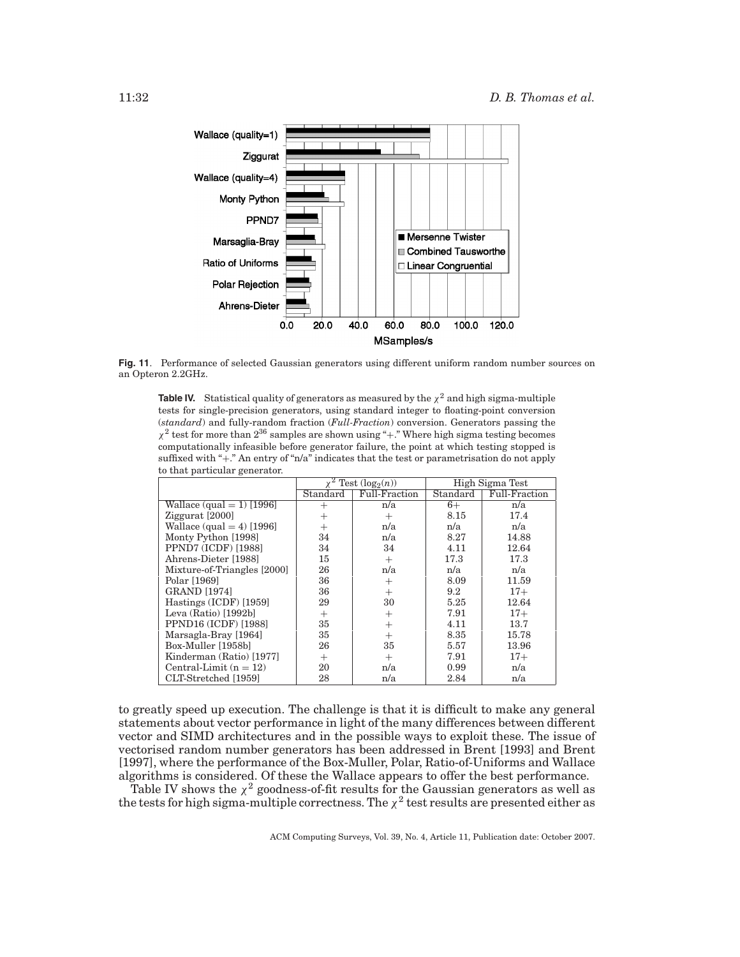

**Fig. 11**. Performance of selected Gaussian generators using different uniform random number sources on an Opteron 2.2GHz.

**Table IV.** Statistical quality of generators as measured by the  $\chi^2$  and high sigma-multiple tests for single-precision generators, using standard integer to floating-point conversion (*standard*) and fully-random fraction (*Full-Fraction*) conversion. Generators passing the  $\chi^2$  test for more than  $2^{36}$  samples are shown using "+." Where high sigma testing becomes computationally infeasible before generator failure, the point at which testing stopped is suffixed with "+." An entry of "n/a" indicates that the test or parametrisation do not apply to that particular generator.

|                             |          | $\chi^2$ Test $(\log_2(n))$ |          | High Sigma Test |
|-----------------------------|----------|-----------------------------|----------|-----------------|
|                             | Standard | Full-Fraction               | Standard | Full-Fraction   |
| Wallace $(qual = 1)$ [1996] | $^{+}$   | n/a                         | $6+$     | n/a             |
| Ziggurat [2000]             | $^{+}$   | $^{+}$                      | 8.15     | 17.4            |
| Wallace $(qual = 4)$ [1996] | $^{+}$   | n/a                         | n/a      | n/a             |
| Monty Python [1998]         | 34       | n/a                         | 8.27     | 14.88           |
| PPND7 (ICDF) [1988]         | 34       | 34                          | 4.11     | 12.64           |
| Ahrens-Dieter [1988]        | 15       | $^{+}$                      | 17.3     | 17.3            |
| Mixture-of-Triangles [2000] | 26       | n/a                         | n/a      | n/a             |
| Polar [1969]                | 36       | $^{+}$                      | 8.09     | 11.59           |
| <b>GRAND</b> [1974]         | 36       | $^{+}$                      | 9.2      | $17+$           |
| Hastings (ICDF) [1959]      | 29       | 30                          | 5.25     | 12.64           |
| Leva (Ratio) [1992b]        | $^{+}$   | $^{+}$                      | 7.91     | $17+$           |
| PPND16 (ICDF) [1988]        | 35       | $^{+}$                      | 4.11     | 13.7            |
| Marsagla-Bray [1964]        | 35       | $^{+}$                      | 8.35     | 15.78           |
| Box-Muller [1958b]          | 26       | 35                          | 5.57     | 13.96           |
| Kinderman (Ratio) [1977]    | $^{+}$   | $^{+}$                      | 7.91     | $17+$           |
| Central-Limit $(n = 12)$    | 20       | n/a                         | 0.99     | n/a             |
| CLT-Stretched [1959]        | 28       | n/a                         | 2.84     | n/a             |

to greatly speed up execution. The challenge is that it is difficult to make any general statements about vector performance in light of the many differences between different vector and SIMD architectures and in the possible ways to exploit these. The issue of vectorised random number generators has been addressed in Brent [1993] and Brent [1997], where the performance of the Box-Muller, Polar, Ratio-of-Uniforms and Wallace algorithms is considered. Of these the Wallace appears to offer the best performance.

Table IV shows the  $\chi^2$  goodness-of-fit results for the Gaussian generators as well as the tests for high sigma-multiple correctness. The  $\chi^2$  test results are presented either as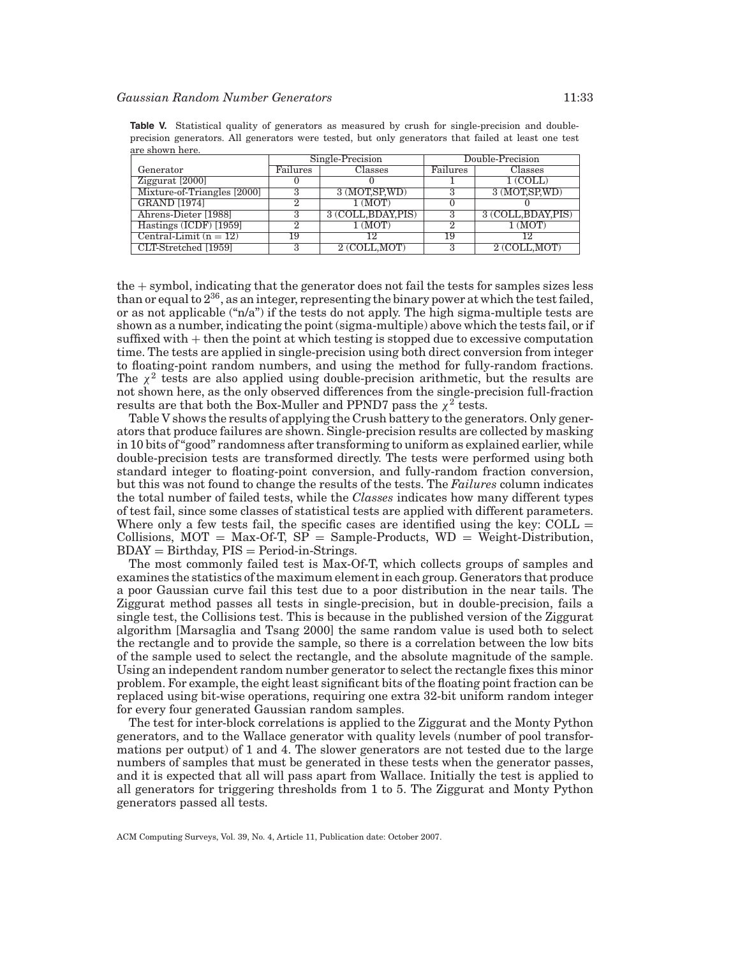|                 |  |  | <b>Table V.</b> Statistical quality of generators as measured by crush for single-precision and double- |                  |  |                  |  |  |  |
|-----------------|--|--|---------------------------------------------------------------------------------------------------------|------------------|--|------------------|--|--|--|
|                 |  |  | precision generators. All generators were tested, but only generators that failed at least one test     |                  |  |                  |  |  |  |
| are shown here. |  |  |                                                                                                         |                  |  |                  |  |  |  |
|                 |  |  |                                                                                                         | Single-Precision |  | Double-Precision |  |  |  |

|                             |          | Single-Precision      |          | Double-Precision    |
|-----------------------------|----------|-----------------------|----------|---------------------|
| Generator                   | Failures | Classes               | Failures | Classes             |
| Ziggurat [2000]             |          |                       |          | $1$ (COLL)          |
| Mixture-of-Triangles [2000] |          | 3 (MOT, SP, WD)       |          | 3 (MOT, SP, WD)     |
| <b>GRAND</b> [1974]         |          | 1(MOT)                |          |                     |
| Ahrens-Dieter [1988]        |          | $3$ (COLL, BDAY, PIS) |          | 3 (COLL, BDAY, PIS) |
| Hastings (ICDF) [1959]      |          | 1(MOT)                |          | 1(MOT)              |
| Central-Limit $(n = 12)$    | 19       |                       | 19       |                     |
| CLT-Stretched [1959]        |          | $2$ (COLL, MOT)       |          | $2$ (COLL, MOT)     |

the + symbol, indicating that the generator does not fail the tests for samples sizes less than or equal to  $2^{36}$ , as an integer, representing the binary power at which the test failed, or as not applicable  $("n/a")$  if the tests do not apply. The high sigma-multiple tests are shown as a number, indicating the point (sigma-multiple) above which the tests fail, or if suffixed with + then the point at which testing is stopped due to excessive computation time. The tests are applied in single-precision using both direct conversion from integer to floating-point random numbers, and using the method for fully-random fractions. The  $\chi^2$  tests are also applied using double-precision arithmetic, but the results are not shown here, as the only observed differences from the single-precision full-fraction results are that both the Box-Muller and PPND7 pass the  $\chi^2$  tests.

Table V shows the results of applying the Crush battery to the generators. Only generators that produce failures are shown. Single-precision results are collected by masking in 10 bits of "good" randomness after transforming to uniform as explained earlier, while double-precision tests are transformed directly. The tests were performed using both standard integer to floating-point conversion, and fully-random fraction conversion, but this was not found to change the results of the tests. The *Failures* column indicates the total number of failed tests, while the *Classes* indicates how many different types of test fail, since some classes of statistical tests are applied with different parameters. Where only a few tests fail, the specific cases are identified using the key:  $COLL =$ Collisions,  $MOT = Max-Of-T$ ,  $SP = Sample-Products$ ,  $WD = Weight-Distribution$ ,  $BDAY = Birthday$ ,  $PIS = Period-in-Strings$ .

The most commonly failed test is Max-Of-T, which collects groups of samples and examines the statistics of the maximum element in each group. Generators that produce a poor Gaussian curve fail this test due to a poor distribution in the near tails. The Ziggurat method passes all tests in single-precision, but in double-precision, fails a single test, the Collisions test. This is because in the published version of the Ziggurat algorithm [Marsaglia and Tsang 2000] the same random value is used both to select the rectangle and to provide the sample, so there is a correlation between the low bits of the sample used to select the rectangle, and the absolute magnitude of the sample. Using an independent random number generator to select the rectangle fixes this minor problem. For example, the eight least significant bits of the floating point fraction can be replaced using bit-wise operations, requiring one extra 32-bit uniform random integer for every four generated Gaussian random samples.

The test for inter-block correlations is applied to the Ziggurat and the Monty Python generators, and to the Wallace generator with quality levels (number of pool transformations per output) of 1 and 4. The slower generators are not tested due to the large numbers of samples that must be generated in these tests when the generator passes, and it is expected that all will pass apart from Wallace. Initially the test is applied to all generators for triggering thresholds from 1 to 5. The Ziggurat and Monty Python generators passed all tests.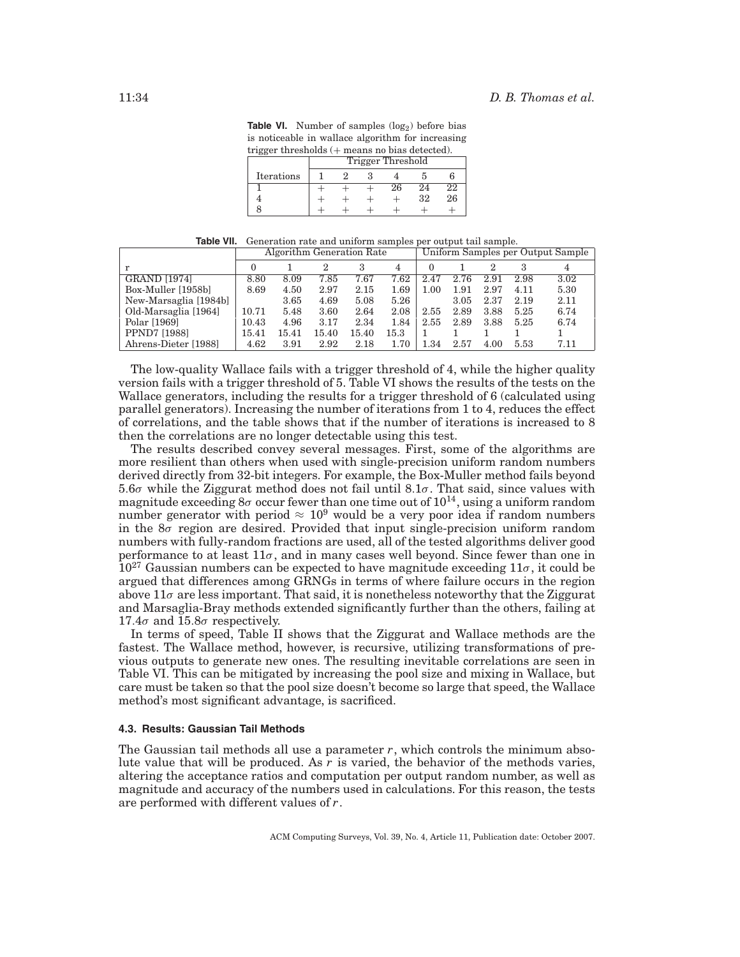Table VI. Number of samples (log<sub>2</sub>) before bias is noticeable in wallace algorithm for increasing trigger thresholds (+ means no bias detected).

|            |  | Trigger Threshold |    |    |
|------------|--|-------------------|----|----|
| Iterations |  |                   |    |    |
|            |  | 26                |    | ソツ |
|            |  |                   | 32 | 26 |
|            |  |                   |    |    |

| <b>Table VII.</b> Generation rate and uniform samples per output tail sample. |  |  |
|-------------------------------------------------------------------------------|--|--|
|                                                                               |  |  |

|                       |       |       | Algorithm Generation Rate   |       |          |      |      |      |      | Uniform Samples per Output Sample |
|-----------------------|-------|-------|-----------------------------|-------|----------|------|------|------|------|-----------------------------------|
|                       |       |       | $\mathcal{D}_{\mathcal{A}}$ | 3     | 4        |      |      |      |      | 4                                 |
| <b>GRAND</b> [1974]   | 8.80  | 8.09  | 7.85                        | 7.67  | 7.62     | 2.47 | 2.76 | 2.91 | 2.98 | 3.02                              |
| Box-Muller [1958b]    | 8.69  | 4.50  | 2.97                        | 2.15  | 1.69     | 1.00 | 1.91 | 2.97 | 4.11 | 5.30                              |
| New-Marsaglia [1984b] |       | 3.65  | 4.69                        | 5.08  | 5.26     |      | 3.05 | 2.37 | 2.19 | 2.11                              |
| Old-Marsaglia [1964]  | 10.71 | 5.48  | 3.60                        | 2.64  | 2.08     | 2.55 | 2.89 | 3.88 | 5.25 | 6.74                              |
| Polar [1969]          | 10.43 | 4.96  | 3.17                        | 2.34  | 1.84     | 2.55 | 2.89 | 3.88 | 5.25 | 6.74                              |
| PPND7 [1988]          | 15.41 | 15.41 | 15.40                       | 15.40 | $15.3\,$ |      |      |      |      |                                   |
| Ahrens-Dieter [1988]  | 4.62  | 3.91  | 2.92                        | 2.18  | 1.70     | 1.34 | 2.57 | 4.00 | 5.53 | 7.11                              |

The low-quality Wallace fails with a trigger threshold of 4, while the higher quality version fails with a trigger threshold of 5. Table VI shows the results of the tests on the Wallace generators, including the results for a trigger threshold of 6 (calculated using parallel generators). Increasing the number of iterations from 1 to 4, reduces the effect of correlations, and the table shows that if the number of iterations is increased to 8 then the correlations are no longer detectable using this test.

The results described convey several messages. First, some of the algorithms are more resilient than others when used with single-precision uniform random numbers derived directly from 32-bit integers. For example, the Box-Muller method fails beyond  $5.6\sigma$  while the Ziggurat method does not fail until  $8.1\sigma$ . That said, since values with magnitude exceeding  $8\sigma$  occur fewer than one time out of  $10^{14}$ , using a uniform random number generator with period  $\approx 10^9$  would be a very poor idea if random numbers in the  $8\sigma$  region are desired. Provided that input single-precision uniform random numbers with fully-random fractions are used, all of the tested algorithms deliver good performance to at least  $11\sigma$ , and in many cases well beyond. Since fewer than one in  $10^{27}$  Gaussian numbers can be expected to have magnitude exceeding  $11\sigma$ , it could be argued that differences among GRNGs in terms of where failure occurs in the region above  $11\sigma$  are less important. That said, it is nonetheless noteworthy that the Ziggurat and Marsaglia-Bray methods extended significantly further than the others, failing at  $17.4\sigma$  and  $15.8\sigma$  respectively.

In terms of speed, Table II shows that the Ziggurat and Wallace methods are the fastest. The Wallace method, however, is recursive, utilizing transformations of previous outputs to generate new ones. The resulting inevitable correlations are seen in Table VI. This can be mitigated by increasing the pool size and mixing in Wallace, but care must be taken so that the pool size doesn't become so large that speed, the Wallace method's most significant advantage, is sacrificed.

### **4.3. Results: Gaussian Tail Methods**

The Gaussian tail methods all use a parameter *r*, which controls the minimum absolute value that will be produced. As *r* is varied, the behavior of the methods varies, altering the acceptance ratios and computation per output random number, as well as magnitude and accuracy of the numbers used in calculations. For this reason, the tests are performed with different values of *r*.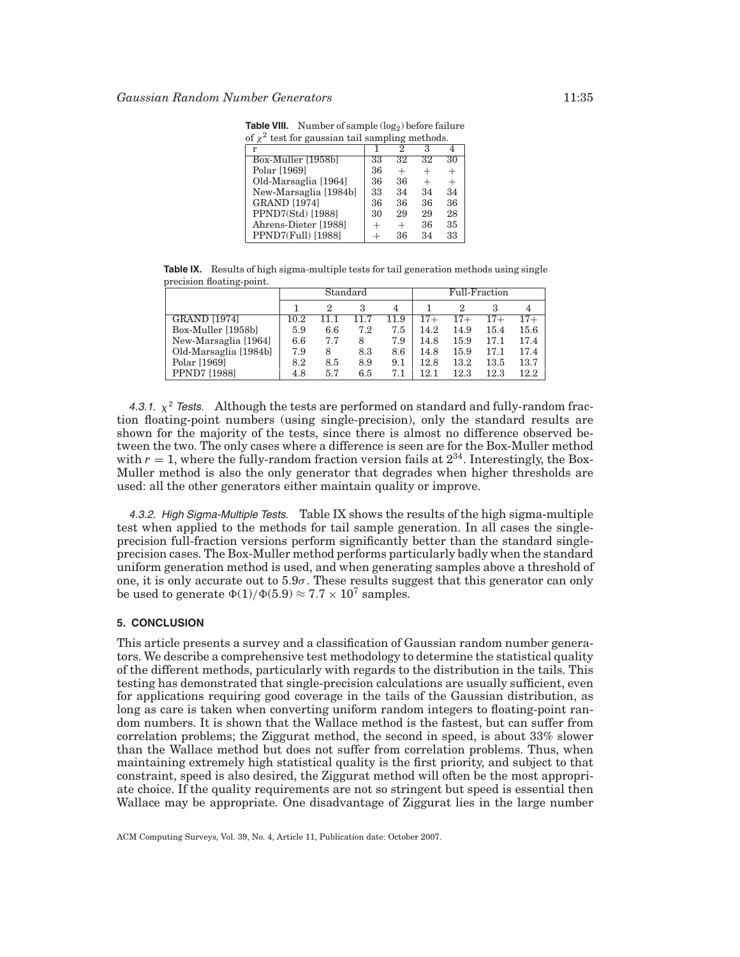| ᅜ 시<br>$\alpha$ and $\alpha$ and $\alpha$ and $\alpha$ and $\alpha$ and $\alpha$ and $\alpha$ and $\alpha$ and $\alpha$ and $\alpha$ and $\alpha$ and $\alpha$ and $\alpha$ and $\alpha$ and $\alpha$ and $\alpha$ and $\alpha$ and $\alpha$ and $\alpha$ and $\alpha$ and $\alpha$ and $\alpha$ and $\alpha$ and $\alpha$ and $\alpha$ |        |        |        |        |  |  |  |  |  |  |
|-----------------------------------------------------------------------------------------------------------------------------------------------------------------------------------------------------------------------------------------------------------------------------------------------------------------------------------------|--------|--------|--------|--------|--|--|--|--|--|--|
|                                                                                                                                                                                                                                                                                                                                         |        |        |        |        |  |  |  |  |  |  |
| Box-Muller [1958b]                                                                                                                                                                                                                                                                                                                      | 33     | 32     | 32     | 30     |  |  |  |  |  |  |
| Polar [1969]                                                                                                                                                                                                                                                                                                                            | 36     | $^{+}$ | $^{+}$ | $^{+}$ |  |  |  |  |  |  |
| Old-Marsaglia [1964]                                                                                                                                                                                                                                                                                                                    | 36     | 36     | $^{+}$ | $^{+}$ |  |  |  |  |  |  |
| New-Marsaglia [1984b]                                                                                                                                                                                                                                                                                                                   | 33     | 34     | 34     | 34     |  |  |  |  |  |  |
| <b>GRAND [1974]</b>                                                                                                                                                                                                                                                                                                                     | 36     | 36     | 36     | 36     |  |  |  |  |  |  |
| PPND7(Std) [1988]                                                                                                                                                                                                                                                                                                                       | 30     | 29     | 29     | 28     |  |  |  |  |  |  |
| Ahrens-Dieter [1988]                                                                                                                                                                                                                                                                                                                    | $^{+}$ | $^{+}$ | 36     | 35     |  |  |  |  |  |  |
| PPND7(Full) [1988]                                                                                                                                                                                                                                                                                                                      |        | 36     | 34     | 33     |  |  |  |  |  |  |

**Table VIII.** Number of sample  $(\log_2)$  before failure of  $x^2$  test for gaussian tail sampling methods.

**Table IX.** Results of high sigma-multiple tests for tail generation methods using single precision floating-point.

| Standard |     |      | Full-Fraction |        |           |       |       |
|----------|-----|------|---------------|--------|-----------|-------|-------|
|          | 2   | 3    | 4             |        | 2         | 3     |       |
| $10.2\,$ |     | 11.7 | 11.9          | $17 +$ | $17+$     | $17+$ | $17+$ |
| 5.9      | 6.6 | 7.2  | 7.5           | 14.2   | 14.9      | 15.4  | 15.6  |
| 6.6      | 7.7 | 8    | 7.9           | 14.8   | 15.9      | 17.1  | 17.4  |
| 7.9      | 8   | 8.3  | 8.6           | 14.8   | 15.9      | 17.1  | 17.4  |
| 8.2      | 8.5 | 8.9  | 9.1           | 12.8   | 13.2      | 13.5  | 13.7  |
| 4.8      | 5.7 | 6.5  | 7.1           | 12.1   | $^{12.3}$ | 12.3  | 12.2  |
|          |     |      |               |        |           |       |       |

*4.3.1.*  $\chi^2$  *Tests.* Although the tests are performed on standard and fully-random fraction floating-point numbers (using single-precision), only the standard results are shown for the majority of the tests, since there is almost no difference observed between the two. The only cases where a difference is seen are for the Box-Muller method with  $r = 1$ , where the fully-random fraction version fails at  $2^{34}$ . Interestingly, the Box-Muller method is also the only generator that degrades when higher thresholds are used: all the other generators either maintain quality or improve.

*4.3.2. High Sigma-Multiple Tests.* Table IX shows the results of the high sigma-multiple test when applied to the methods for tail sample generation. In all cases the singleprecision full-fraction versions perform significantly better than the standard singleprecision cases. The Box-Muller method performs particularly badly when the standard uniform generation method is used, and when generating samples above a threshold of one, it is only accurate out to  $5.9\sigma$ . These results suggest that this generator can only be used to generate  $\Phi(1)/\Phi(5.9) \approx 7.7 \times 10^7$  samples.

#### **5. CONCLUSION**

This article presents a survey and a classification of Gaussian random number generators. We describe a comprehensive test methodology to determine the statistical quality of the different methods, particularly with regards to the distribution in the tails. This testing has demonstrated that single-precision calculations are usually sufficient, even for applications requiring good coverage in the tails of the Gaussian distribution, as long as care is taken when converting uniform random integers to floating-point random numbers. It is shown that the Wallace method is the fastest, but can suffer from correlation problems; the Ziggurat method, the second in speed, is about 33% slower than the Wallace method but does not suffer from correlation problems. Thus, when maintaining extremely high statistical quality is the first priority, and subject to that constraint, speed is also desired, the Ziggurat method will often be the most appropriate choice. If the quality requirements are not so stringent but speed is essential then Wallace may be appropriate. One disadvantage of Ziggurat lies in the large number

ACM Computing Surveys, Vol. 39, No. 4, Article 11, Publication date: October 2007.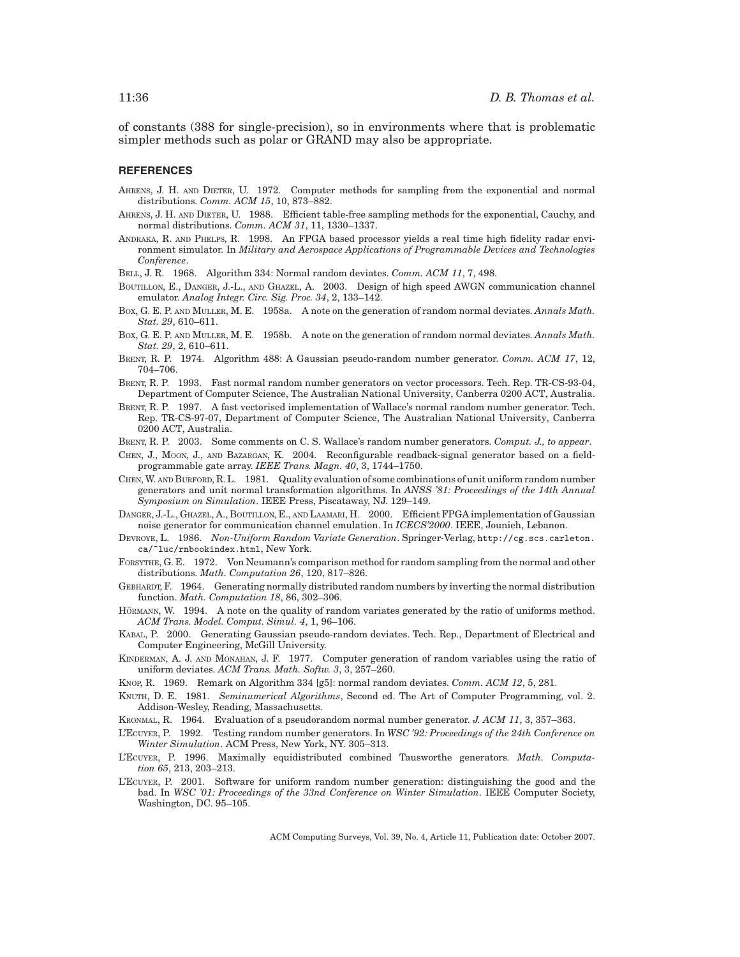of constants (388 for single-precision), so in environments where that is problematic simpler methods such as polar or GRAND may also be appropriate.

### **REFERENCES**

- AHRENS, J. H. AND DIETER, U. 1972. Computer methods for sampling from the exponential and normal distributions. *Comm. ACM 15*, 10, 873–882.
- AHRENS, J. H. AND DIETER, U. 1988. Efficient table-free sampling methods for the exponential, Cauchy, and normal distributions. *Comm. ACM 31*, 11, 1330–1337.
- ANDRAKA, R. AND PHELPS, R. 1998. An FPGA based processor yields a real time high fidelity radar environment simulator. In *Military and Aerospace Applications of Programmable Devices and Technologies Conference*.
- BELL, J. R. 1968. Algorithm 334: Normal random deviates. *Comm. ACM 11*, 7, 498.
- BOUTILLON, E., DANGER, J.-L., AND GHAZEL, A. 2003. Design of high speed AWGN communication channel emulator. *Analog Integr. Circ. Sig. Proc. 34*, 2, 133–142.
- BOX, G. E. P. AND MULLER, M. E. 1958a. A note on the generation of random normal deviates. *Annals Math. Stat. 29*, 610–611.
- BOX, G. E. P. AND MULLER, M. E. 1958b. A note on the generation of random normal deviates. *Annals Math. Stat. 29*, 2, 610–611.
- BRENT, R. P. 1974. Algorithm 488: A Gaussian pseudo-random number generator. *Comm. ACM 17*, 12, 704–706.
- BRENT, R. P. 1993. Fast normal random number generators on vector processors. Tech. Rep. TR-CS-93-04, Department of Computer Science, The Australian National University, Canberra 0200 ACT, Australia.
- BRENT, R. P. 1997. A fast vectorised implementation of Wallace's normal random number generator. Tech. Rep. TR-CS-97-07, Department of Computer Science, The Australian National University, Canberra 0200 ACT, Australia.
- BRENT, R. P. 2003. Some comments on C. S. Wallace's random number generators. *Comput. J., to appear*.
- CHEN, J., MOON, J., AND BAZARGAN, K. 2004. Reconfigurable readback-signal generator based on a fieldprogrammable gate array. *IEEE Trans. Magn. 40*, 3, 1744–1750.
- CHEN, W. AND BURFORD, R. L. 1981. Quality evaluation of some combinations of unit uniform random number generators and unit normal transformation algorithms. In *ANSS '81: Proceedings of the 14th Annual Symposium on Simulation*. IEEE Press, Piscataway, NJ. 129–149.
- DANGER, J.-L., GHAZEL, A., BOUTILLON, E., AND LAAMARI, H. 2000. Efficient FPGA implementation of Gaussian noise generator for communication channel emulation. In *ICECS'2000*. IEEE, Jounieh, Lebanon.
- DEVROYE, L. 1986. *Non-Uniform Random Variate Generation*. Springer-Verlag, http://cg.scs.carleton. ca/~luc/rnbookindex.html, New York.
- FORSYTHE, G. E. 1972. Von Neumann's comparison method for random sampling from the normal and other distributions. *Math. Computation 26*, 120, 817–826.
- GEBHARDT, F. 1964. Generating normally distributed random numbers by inverting the normal distribution function. *Math. Computation 18*, 86, 302–306.
- HÖRMANN, W. 1994. A note on the quality of random variates generated by the ratio of uniforms method. *ACM Trans. Model. Comput. Simul. 4*, 1, 96–106.
- KABAL, P. 2000. Generating Gaussian pseudo-random deviates. Tech. Rep., Department of Electrical and Computer Engineering, McGill University.
- KINDERMAN, A. J. AND MONAHAN, J. F. 1977. Computer generation of random variables using the ratio of uniform deviates. *ACM Trans. Math. Softw. 3*, 3, 257–260.
- KNOP, R. 1969. Remark on Algorithm 334 [g5]: normal random deviates. *Comm. ACM 12*, 5, 281.
- KNUTH, D. E. 1981. *Seminumerical Algorithms*, Second ed. The Art of Computer Programming, vol. 2. Addison-Wesley, Reading, Massachusetts.
- KRONMAL, R. 1964. Evaluation of a pseudorandom normal number generator. *J. ACM 11*, 3, 357–363.
- L'ECUYER, P. 1992. Testing random number generators. In *WSC '92: Proceedings of the 24th Conference on Winter Simulation*. ACM Press, New York, NY. 305–313.
- L'ECUYER, P. 1996. Maximally equidistributed combined Tausworthe generators. *Math. Computation 65*, 213, 203–213.
- L'ECUYER, P. 2001. Software for uniform random number generation: distinguishing the good and the bad. In *WSC '01: Proceedings of the 33nd Conference on Winter Simulation*. IEEE Computer Society, Washington, DC. 95–105.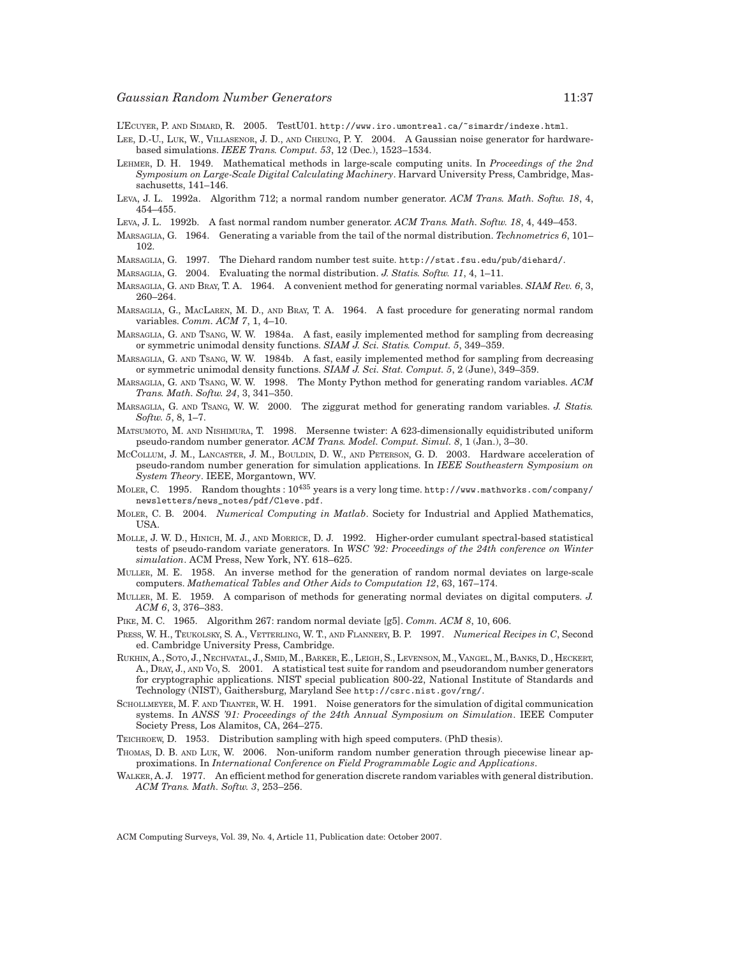L'ECUYER, P. AND SIMARD, R. 2005. TestU01. http://www.iro.umontreal.ca/~simardr/indexe.html.

- LEE, D.-U., LUK, W., VILLASENOR, J. D., AND CHEUNG, P. Y. 2004. A Gaussian noise generator for hardwarebased simulations. *IEEE Trans. Comput. 53*, 12 (Dec.), 1523–1534.
- LEHMER, D. H. 1949. Mathematical methods in large-scale computing units. In *Proceedings of the 2nd Symposium on Large-Scale Digital Calculating Machinery*. Harvard University Press, Cambridge, Massachusetts, 141–146.
- LEVA, J. L. 1992a. Algorithm 712; a normal random number generator. *ACM Trans. Math. Softw. 18*, 4, 454–455.
- LEVA, J. L. 1992b. A fast normal random number generator. *ACM Trans. Math. Softw. 18*, 4, 449–453.
- MARSAGLIA, G. 1964. Generating a variable from the tail of the normal distribution. *Technometrics 6*, 101– 102.
- MARSAGLIA, G. 1997. The Diehard random number test suite. http://stat.fsu.edu/pub/diehard/.
- MARSAGLIA, G. 2004. Evaluating the normal distribution. *J. Statis. Softw. 11*, 4, 1–11.
- MARSAGLIA, G. AND BRAY, T. A. 1964. A convenient method for generating normal variables. *SIAM Rev. 6*, 3, 260–264.
- MARSAGLIA, G., MACLAREN, M. D., AND BRAY, T. A. 1964. A fast procedure for generating normal random variables. *Comm. ACM 7*, 1, 4–10.
- MARSAGLIA, G. AND TSANG, W. W. 1984a. A fast, easily implemented method for sampling from decreasing or symmetric unimodal density functions. *SIAM J. Sci. Statis. Comput. 5*, 349–359.
- MARSAGLIA, G. AND TSANG, W. W. 1984b. A fast, easily implemented method for sampling from decreasing or symmetric unimodal density functions. *SIAM J. Sci. Stat. Comput. 5*, 2 (June), 349–359.
- MARSAGLIA, G. AND TSANG, W. W. 1998. The Monty Python method for generating random variables. *ACM Trans. Math. Softw. 24*, 3, 341–350.
- MARSAGLIA, G. AND TSANG, W. W. 2000. The ziggurat method for generating random variables. *J. Statis. Softw. 5*, 8, 1–7.
- MATSUMOTO, M. AND NISHIMURA, T. 1998. Mersenne twister: A 623-dimensionally equidistributed uniform pseudo-random number generator. *ACM Trans. Model. Comput. Simul. 8*, 1 (Jan.), 3–30.
- MCCOLLUM, J. M., LANCASTER, J. M., BOULDIN, D. W., AND PETERSON, G. D. 2003. Hardware acceleration of pseudo-random number generation for simulation applications. In *IEEE Southeastern Symposium on System Theory*. IEEE, Morgantown, WV.
- MOLER, C. 1995. Random thoughts : 10<sup>435</sup> years is a very long time. http://www.mathworks.com/company/ newsletters/news\_notes/pdf/Cleve.pdf.
- MOLER, C. B. 2004. *Numerical Computing in Matlab*. Society for Industrial and Applied Mathematics, **IISA**
- MOLLE, J. W. D., HINICH, M. J., AND MORRICE, D. J. 1992. Higher-order cumulant spectral-based statistical tests of pseudo-random variate generators. In *WSC '92: Proceedings of the 24th conference on Winter simulation*. ACM Press, New York, NY. 618–625.
- MULLER, M. E. 1958. An inverse method for the generation of random normal deviates on large-scale computers. *Mathematical Tables and Other Aids to Computation 12*, 63, 167–174.
- MULLER, M. E. 1959. A comparison of methods for generating normal deviates on digital computers. *J. ACM 6*, 3, 376–383.
- PIKE, M. C. 1965. Algorithm 267: random normal deviate [g5]. *Comm. ACM 8*, 10, 606.
- PRESS, W. H., TEUKOLSKY, S. A., VETTERLING, W. T., AND FLANNERY, B. P. 1997. *Numerical Recipes in C*, Second ed. Cambridge University Press, Cambridge.
- RUKHIN, A., SOTO, J., NECHVATAL, J., SMID, M., BARKER, E., LEIGH, S., LEVENSON, M., VANGEL, M., BANKS, D., HECKERT, A., DRAY, J., AND VO, S. 2001. A statistical test suite for random and pseudorandom number generators for cryptographic applications. NIST special publication 800-22, National Institute of Standards and Technology (NIST), Gaithersburg, Maryland See http://csrc.nist.gov/rng/.
- SCHOLLMEYER, M. F. AND TRANTER, W. H. 1991. Noise generators for the simulation of digital communication systems. In *ANSS '91: Proceedings of the 24th Annual Symposium on Simulation*. IEEE Computer Society Press, Los Alamitos, CA, 264–275.
- TEICHROEW, D. 1953. Distribution sampling with high speed computers. (PhD thesis).
- THOMAS, D. B. AND LUK, W. 2006. Non-uniform random number generation through piecewise linear approximations. In *International Conference on Field Programmable Logic and Applications*.
- WALKER, A. J. 1977. An efficient method for generation discrete random variables with general distribution. *ACM Trans. Math. Softw. 3*, 253–256.